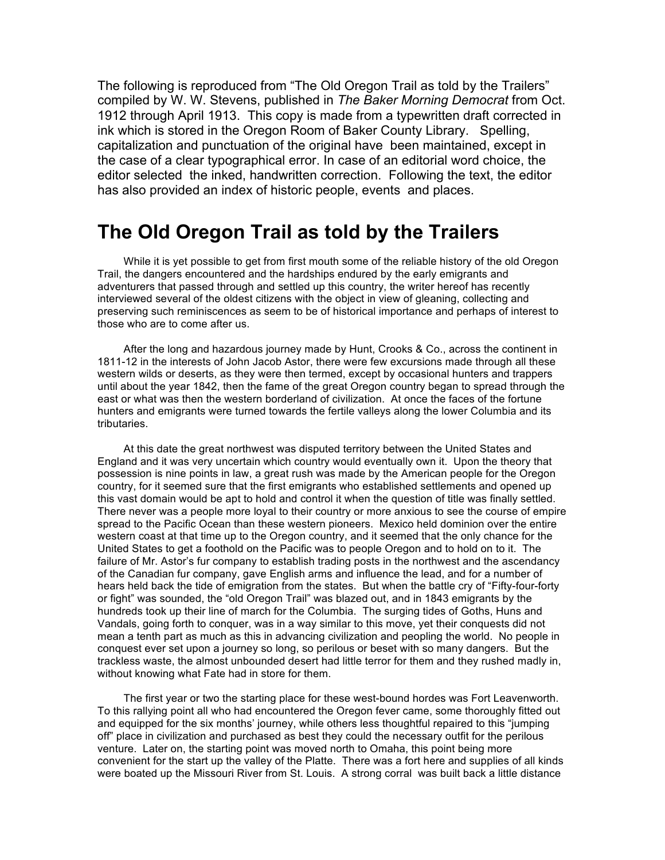The following is reproduced from "The Old Oregon Trail as told by the Trailers" compiled by W. W. Stevens, published in *The Baker Morning Democrat* from Oct. 1912 through April 1913. This copy is made from a typewritten draft corrected in ink which is stored in the Oregon Room of Baker County Library. Spelling, capitalization and punctuation of the original have been maintained, except in the case of a clear typographical error. In case of an editorial word choice, the editor selected the inked, handwritten correction. Following the text, the editor has also provided an index of historic people, events and places.

## **The Old Oregon Trail as told by the Trailers**

While it is yet possible to get from first mouth some of the reliable history of the old Oregon Trail, the dangers encountered and the hardships endured by the early emigrants and adventurers that passed through and settled up this country, the writer hereof has recently interviewed several of the oldest citizens with the object in view of gleaning, collecting and preserving such reminiscences as seem to be of historical importance and perhaps of interest to those who are to come after us.

After the long and hazardous journey made by Hunt, Crooks & Co., across the continent in 1811-12 in the interests of John Jacob Astor, there were few excursions made through all these western wilds or deserts, as they were then termed, except by occasional hunters and trappers until about the year 1842, then the fame of the great Oregon country began to spread through the east or what was then the western borderland of civilization. At once the faces of the fortune hunters and emigrants were turned towards the fertile valleys along the lower Columbia and its tributaries.

At this date the great northwest was disputed territory between the United States and England and it was very uncertain which country would eventually own it. Upon the theory that possession is nine points in law, a great rush was made by the American people for the Oregon country, for it seemed sure that the first emigrants who established settlements and opened up this vast domain would be apt to hold and control it when the question of title was finally settled. There never was a people more loyal to their country or more anxious to see the course of empire spread to the Pacific Ocean than these western pioneers. Mexico held dominion over the entire western coast at that time up to the Oregon country, and it seemed that the only chance for the United States to get a foothold on the Pacific was to people Oregon and to hold on to it. The failure of Mr. Astor's fur company to establish trading posts in the northwest and the ascendancy of the Canadian fur company, gave English arms and influence the lead, and for a number of hears held back the tide of emigration from the states. But when the battle cry of "Fifty-four-forty or fight" was sounded, the "old Oregon Trail" was blazed out, and in 1843 emigrants by the hundreds took up their line of march for the Columbia. The surging tides of Goths, Huns and Vandals, going forth to conquer, was in a way similar to this move, yet their conquests did not mean a tenth part as much as this in advancing civilization and peopling the world. No people in conquest ever set upon a journey so long, so perilous or beset with so many dangers. But the trackless waste, the almost unbounded desert had little terror for them and they rushed madly in, without knowing what Fate had in store for them.

The first year or two the starting place for these west-bound hordes was Fort Leavenworth. To this rallying point all who had encountered the Oregon fever came, some thoroughly fitted out and equipped for the six months' journey, while others less thoughtful repaired to this "jumping off" place in civilization and purchased as best they could the necessary outfit for the perilous venture. Later on, the starting point was moved north to Omaha, this point being more convenient for the start up the valley of the Platte. There was a fort here and supplies of all kinds were boated up the Missouri River from St. Louis. A strong corral was built back a little distance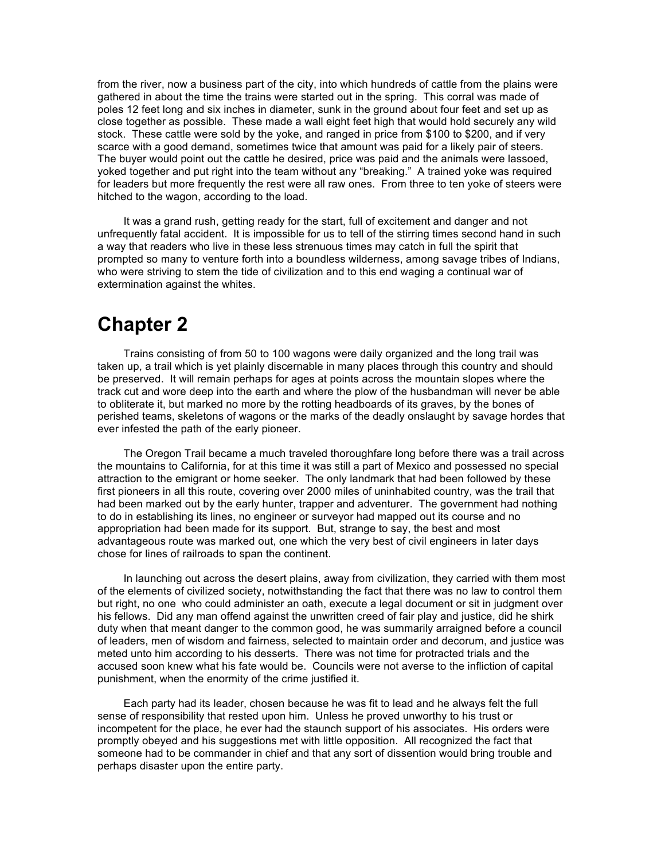from the river, now a business part of the city, into which hundreds of cattle from the plains were gathered in about the time the trains were started out in the spring. This corral was made of poles 12 feet long and six inches in diameter, sunk in the ground about four feet and set up as close together as possible. These made a wall eight feet high that would hold securely any wild stock. These cattle were sold by the yoke, and ranged in price from \$100 to \$200, and if very scarce with a good demand, sometimes twice that amount was paid for a likely pair of steers. The buyer would point out the cattle he desired, price was paid and the animals were lassoed, yoked together and put right into the team without any "breaking." A trained yoke was required for leaders but more frequently the rest were all raw ones. From three to ten yoke of steers were hitched to the wagon, according to the load.

It was a grand rush, getting ready for the start, full of excitement and danger and not unfrequently fatal accident. It is impossible for us to tell of the stirring times second hand in such a way that readers who live in these less strenuous times may catch in full the spirit that prompted so many to venture forth into a boundless wilderness, among savage tribes of Indians, who were striving to stem the tide of civilization and to this end waging a continual war of extermination against the whites.

# **Chapter 2**

Trains consisting of from 50 to 100 wagons were daily organized and the long trail was taken up, a trail which is yet plainly discernable in many places through this country and should be preserved. It will remain perhaps for ages at points across the mountain slopes where the track cut and wore deep into the earth and where the plow of the husbandman will never be able to obliterate it, but marked no more by the rotting headboards of its graves, by the bones of perished teams, skeletons of wagons or the marks of the deadly onslaught by savage hordes that ever infested the path of the early pioneer.

The Oregon Trail became a much traveled thoroughfare long before there was a trail across the mountains to California, for at this time it was still a part of Mexico and possessed no special attraction to the emigrant or home seeker. The only landmark that had been followed by these first pioneers in all this route, covering over 2000 miles of uninhabited country, was the trail that had been marked out by the early hunter, trapper and adventurer. The government had nothing to do in establishing its lines, no engineer or surveyor had mapped out its course and no appropriation had been made for its support. But, strange to say, the best and most advantageous route was marked out, one which the very best of civil engineers in later days chose for lines of railroads to span the continent.

In launching out across the desert plains, away from civilization, they carried with them most of the elements of civilized society, notwithstanding the fact that there was no law to control them but right, no one who could administer an oath, execute a legal document or sit in judgment over his fellows. Did any man offend against the unwritten creed of fair play and justice, did he shirk duty when that meant danger to the common good, he was summarily arraigned before a council of leaders, men of wisdom and fairness, selected to maintain order and decorum, and justice was meted unto him according to his desserts. There was not time for protracted trials and the accused soon knew what his fate would be. Councils were not averse to the infliction of capital punishment, when the enormity of the crime justified it.

Each party had its leader, chosen because he was fit to lead and he always felt the full sense of responsibility that rested upon him. Unless he proved unworthy to his trust or incompetent for the place, he ever had the staunch support of his associates. His orders were promptly obeyed and his suggestions met with little opposition. All recognized the fact that someone had to be commander in chief and that any sort of dissention would bring trouble and perhaps disaster upon the entire party.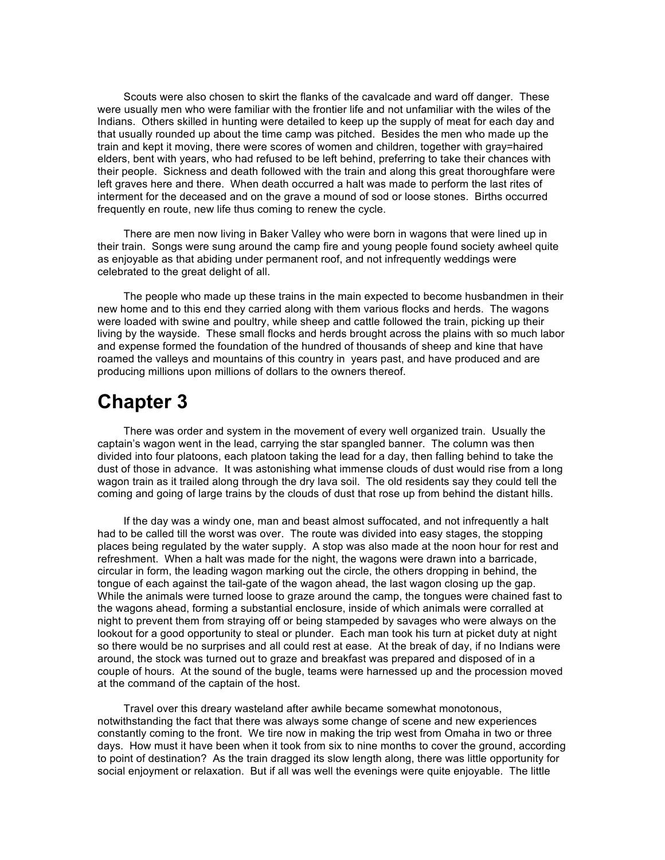Scouts were also chosen to skirt the flanks of the cavalcade and ward off danger. These were usually men who were familiar with the frontier life and not unfamiliar with the wiles of the Indians. Others skilled in hunting were detailed to keep up the supply of meat for each day and that usually rounded up about the time camp was pitched. Besides the men who made up the train and kept it moving, there were scores of women and children, together with gray=haired elders, bent with years, who had refused to be left behind, preferring to take their chances with their people. Sickness and death followed with the train and along this great thoroughfare were left graves here and there. When death occurred a halt was made to perform the last rites of interment for the deceased and on the grave a mound of sod or loose stones. Births occurred frequently en route, new life thus coming to renew the cycle.

There are men now living in Baker Valley who were born in wagons that were lined up in their train. Songs were sung around the camp fire and young people found society awheel quite as enjoyable as that abiding under permanent roof, and not infrequently weddings were celebrated to the great delight of all.

The people who made up these trains in the main expected to become husbandmen in their new home and to this end they carried along with them various flocks and herds. The wagons were loaded with swine and poultry, while sheep and cattle followed the train, picking up their living by the wayside. These small flocks and herds brought across the plains with so much labor and expense formed the foundation of the hundred of thousands of sheep and kine that have roamed the valleys and mountains of this country in years past, and have produced and are producing millions upon millions of dollars to the owners thereof.

### **Chapter 3**

There was order and system in the movement of every well organized train. Usually the captain's wagon went in the lead, carrying the star spangled banner. The column was then divided into four platoons, each platoon taking the lead for a day, then falling behind to take the dust of those in advance. It was astonishing what immense clouds of dust would rise from a long wagon train as it trailed along through the dry lava soil. The old residents say they could tell the coming and going of large trains by the clouds of dust that rose up from behind the distant hills.

If the day was a windy one, man and beast almost suffocated, and not infrequently a halt had to be called till the worst was over. The route was divided into easy stages, the stopping places being regulated by the water supply. A stop was also made at the noon hour for rest and refreshment. When a halt was made for the night, the wagons were drawn into a barricade, circular in form, the leading wagon marking out the circle, the others dropping in behind, the tongue of each against the tail-gate of the wagon ahead, the last wagon closing up the gap. While the animals were turned loose to graze around the camp, the tongues were chained fast to the wagons ahead, forming a substantial enclosure, inside of which animals were corralled at night to prevent them from straying off or being stampeded by savages who were always on the lookout for a good opportunity to steal or plunder. Each man took his turn at picket duty at night so there would be no surprises and all could rest at ease. At the break of day, if no Indians were around, the stock was turned out to graze and breakfast was prepared and disposed of in a couple of hours. At the sound of the bugle, teams were harnessed up and the procession moved at the command of the captain of the host.

Travel over this dreary wasteland after awhile became somewhat monotonous, notwithstanding the fact that there was always some change of scene and new experiences constantly coming to the front. We tire now in making the trip west from Omaha in two or three days. How must it have been when it took from six to nine months to cover the ground, according to point of destination? As the train dragged its slow length along, there was little opportunity for social enjoyment or relaxation. But if all was well the evenings were quite enjoyable. The little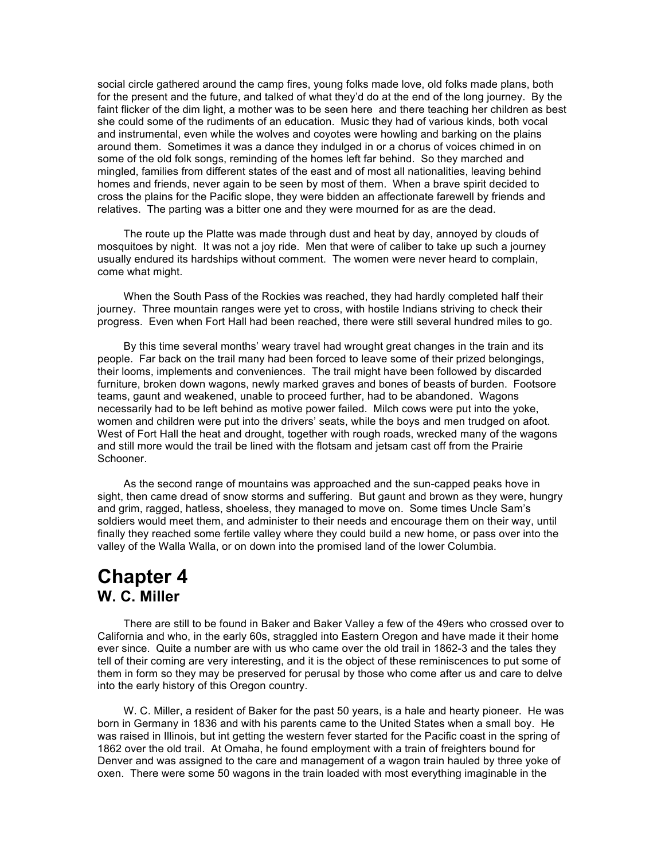social circle gathered around the camp fires, young folks made love, old folks made plans, both for the present and the future, and talked of what they'd do at the end of the long journey. By the faint flicker of the dim light, a mother was to be seen here and there teaching her children as best she could some of the rudiments of an education. Music they had of various kinds, both vocal and instrumental, even while the wolves and coyotes were howling and barking on the plains around them. Sometimes it was a dance they indulged in or a chorus of voices chimed in on some of the old folk songs, reminding of the homes left far behind. So they marched and mingled, families from different states of the east and of most all nationalities, leaving behind homes and friends, never again to be seen by most of them. When a brave spirit decided to cross the plains for the Pacific slope, they were bidden an affectionate farewell by friends and relatives. The parting was a bitter one and they were mourned for as are the dead.

The route up the Platte was made through dust and heat by day, annoyed by clouds of mosquitoes by night. It was not a joy ride. Men that were of caliber to take up such a journey usually endured its hardships without comment. The women were never heard to complain, come what might.

When the South Pass of the Rockies was reached, they had hardly completed half their journey. Three mountain ranges were yet to cross, with hostile Indians striving to check their progress. Even when Fort Hall had been reached, there were still several hundred miles to go.

By this time several months' weary travel had wrought great changes in the train and its people. Far back on the trail many had been forced to leave some of their prized belongings, their looms, implements and conveniences. The trail might have been followed by discarded furniture, broken down wagons, newly marked graves and bones of beasts of burden. Footsore teams, gaunt and weakened, unable to proceed further, had to be abandoned. Wagons necessarily had to be left behind as motive power failed. Milch cows were put into the yoke, women and children were put into the drivers' seats, while the boys and men trudged on afoot. West of Fort Hall the heat and drought, together with rough roads, wrecked many of the wagons and still more would the trail be lined with the flotsam and jetsam cast off from the Prairie Schooner.

As the second range of mountains was approached and the sun-capped peaks hove in sight, then came dread of snow storms and suffering. But gaunt and brown as they were, hungry and grim, ragged, hatless, shoeless, they managed to move on. Some times Uncle Sam's soldiers would meet them, and administer to their needs and encourage them on their way, until finally they reached some fertile valley where they could build a new home, or pass over into the valley of the Walla Walla, or on down into the promised land of the lower Columbia.

### **Chapter 4 W. C. Miller**

There are still to be found in Baker and Baker Valley a few of the 49ers who crossed over to California and who, in the early 60s, straggled into Eastern Oregon and have made it their home ever since. Quite a number are with us who came over the old trail in 1862-3 and the tales they tell of their coming are very interesting, and it is the object of these reminiscences to put some of them in form so they may be preserved for perusal by those who come after us and care to delve into the early history of this Oregon country.

W. C. Miller, a resident of Baker for the past 50 years, is a hale and hearty pioneer. He was born in Germany in 1836 and with his parents came to the United States when a small boy. He was raised in Illinois, but int getting the western fever started for the Pacific coast in the spring of 1862 over the old trail. At Omaha, he found employment with a train of freighters bound for Denver and was assigned to the care and management of a wagon train hauled by three yoke of oxen. There were some 50 wagons in the train loaded with most everything imaginable in the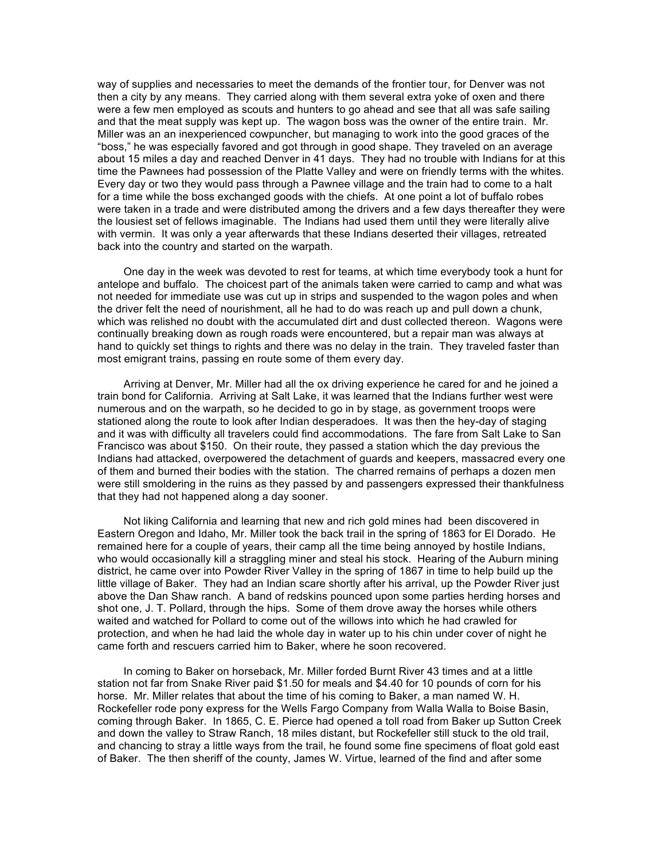way of supplies and necessaries to meet the demands of the frontier tour, for Denver was not then a city by any means. They carried along with them several extra yoke of oxen and there were a few men employed as scouts and hunters to go ahead and see that all was safe sailing and that the meat supply was kept up. The wagon boss was the owner of the entire train. Mr. Miller was an an inexperienced cowpuncher, but managing to work into the good graces of the "boss," he was especially favored and got through in good shape. They traveled on an average about 15 miles a day and reached Denver in 41 days. They had no trouble with Indians for at this time the Pawnees had possession of the Platte Valley and were on friendly terms with the whites. Every day or two they would pass through a Pawnee village and the train had to come to a halt for a time while the boss exchanged goods with the chiefs. At one point a lot of buffalo robes were taken in a trade and were distributed among the drivers and a few days thereafter they were the lousiest set of fellows imaginable. The Indians had used them until they were literally alive with vermin. It was only a year afterwards that these Indians deserted their villages, retreated back into the country and started on the warpath.

One day in the week was devoted to rest for teams, at which time everybody took a hunt for antelope and buffalo. The choicest part of the animals taken were carried to camp and what was not needed for immediate use was cut up in strips and suspended to the wagon poles and when the driver felt the need of nourishment, all he had to do was reach up and pull down a chunk, which was relished no doubt with the accumulated dirt and dust collected thereon. Wagons were continually breaking down as rough roads were encountered, but a repair man was always at hand to quickly set things to rights and there was no delay in the train. They traveled faster than most emigrant trains, passing en route some of them every day.

Arriving at Denver, Mr. Miller had all the ox driving experience he cared for and he joined a train bond for California. Arriving at Salt Lake, it was learned that the Indians further west were numerous and on the warpath, so he decided to go in by stage, as government troops were stationed along the route to look after Indian desperadoes. It was then the hey-day of staging and it was with difficulty all travelers could find accommodations. The fare from Salt Lake to San Francisco was about \$150. On their route, they passed a station which the day previous the Indians had attacked, overpowered the detachment of guards and keepers, massacred every one of them and burned their bodies with the station. The charred remains of perhaps a dozen men were still smoldering in the ruins as they passed by and passengers expressed their thankfulness that they had not happened along a day sooner.

Not liking California and learning that new and rich gold mines had been discovered in Eastern Oregon and Idaho, Mr. Miller took the back trail in the spring of 1863 for El Dorado. He remained here for a couple of years, their camp all the time being annoyed by hostile Indians, who would occasionally kill a straggling miner and steal his stock. Hearing of the Auburn mining district, he came over into Powder River Valley in the spring of 1867 in time to help build up the little village of Baker. They had an Indian scare shortly after his arrival, up the Powder River just above the Dan Shaw ranch. A band of redskins pounced upon some parties herding horses and shot one, J. T. Pollard, through the hips. Some of them drove away the horses while others waited and watched for Pollard to come out of the willows into which he had crawled for protection, and when he had laid the whole day in water up to his chin under cover of night he came forth and rescuers carried him to Baker, where he soon recovered.

In coming to Baker on horseback, Mr. Miller forded Burnt River 43 times and at a little station not far from Snake River paid \$1.50 for meals and \$4.40 for 10 pounds of corn for his horse. Mr. Miller relates that about the time of his coming to Baker, a man named W. H. Rockefeller rode pony express for the Wells Fargo Company from Walla Walla to Boise Basin, coming through Baker. In 1865, C. E. Pierce had opened a toll road from Baker up Sutton Creek and down the valley to Straw Ranch, 18 miles distant, but Rockefeller still stuck to the old trail, and chancing to stray a little ways from the trail, he found some fine specimens of float gold east of Baker. The then sheriff of the county, James W. Virtue, learned of the find and after some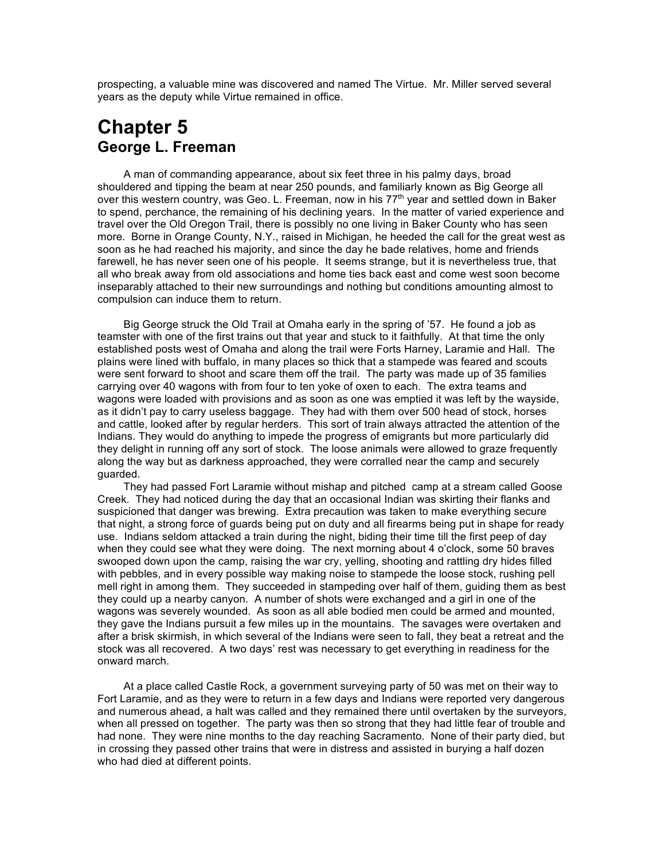prospecting, a valuable mine was discovered and named The Virtue. Mr. Miller served several years as the deputy while Virtue remained in office.

## **Chapter 5 George L. Freeman**

A man of commanding appearance, about six feet three in his palmy days, broad shouldered and tipping the beam at near 250 pounds, and familiarly known as Big George all over this western country, was Geo. L. Freeman, now in his  $77<sup>th</sup>$  year and settled down in Baker to spend, perchance, the remaining of his declining years. In the matter of varied experience and travel over the Old Oregon Trail, there is possibly no one living in Baker County who has seen more. Borne in Orange County, N.Y., raised in Michigan, he heeded the call for the great west as soon as he had reached his majority, and since the day he bade relatives, home and friends farewell, he has never seen one of his people. It seems strange, but it is nevertheless true, that all who break away from old associations and home ties back east and come west soon become inseparably attached to their new surroundings and nothing but conditions amounting almost to compulsion can induce them to return.

Big George struck the Old Trail at Omaha early in the spring of '57. He found a job as teamster with one of the first trains out that year and stuck to it faithfully. At that time the only established posts west of Omaha and along the trail were Forts Harney, Laramie and Hall. The plains were lined with buffalo, in many places so thick that a stampede was feared and scouts were sent forward to shoot and scare them off the trail. The party was made up of 35 families carrying over 40 wagons with from four to ten yoke of oxen to each. The extra teams and wagons were loaded with provisions and as soon as one was emptied it was left by the wayside, as it didn't pay to carry useless baggage. They had with them over 500 head of stock, horses and cattle, looked after by regular herders. This sort of train always attracted the attention of the Indians. They would do anything to impede the progress of emigrants but more particularly did they delight in running off any sort of stock. The loose animals were allowed to graze frequently along the way but as darkness approached, they were corralled near the camp and securely guarded.

They had passed Fort Laramie without mishap and pitched camp at a stream called Goose Creek. They had noticed during the day that an occasional Indian was skirting their flanks and suspicioned that danger was brewing. Extra precaution was taken to make everything secure that night, a strong force of guards being put on duty and all firearms being put in shape for ready use. Indians seldom attacked a train during the night, biding their time till the first peep of day when they could see what they were doing. The next morning about 4 o'clock, some 50 braves swooped down upon the camp, raising the war cry, yelling, shooting and rattling dry hides filled with pebbles, and in every possible way making noise to stampede the loose stock, rushing pell mell right in among them. They succeeded in stampeding over half of them, guiding them as best they could up a nearby canyon. A number of shots were exchanged and a girl in one of the wagons was severely wounded. As soon as all able bodied men could be armed and mounted, they gave the Indians pursuit a few miles up in the mountains. The savages were overtaken and after a brisk skirmish, in which several of the Indians were seen to fall, they beat a retreat and the stock was all recovered. A two days' rest was necessary to get everything in readiness for the onward march.

At a place called Castle Rock, a government surveying party of 50 was met on their way to Fort Laramie, and as they were to return in a few days and Indians were reported very dangerous and numerous ahead, a halt was called and they remained there until overtaken by the surveyors, when all pressed on together. The party was then so strong that they had little fear of trouble and had none. They were nine months to the day reaching Sacramento. None of their party died, but in crossing they passed other trains that were in distress and assisted in burying a half dozen who had died at different points.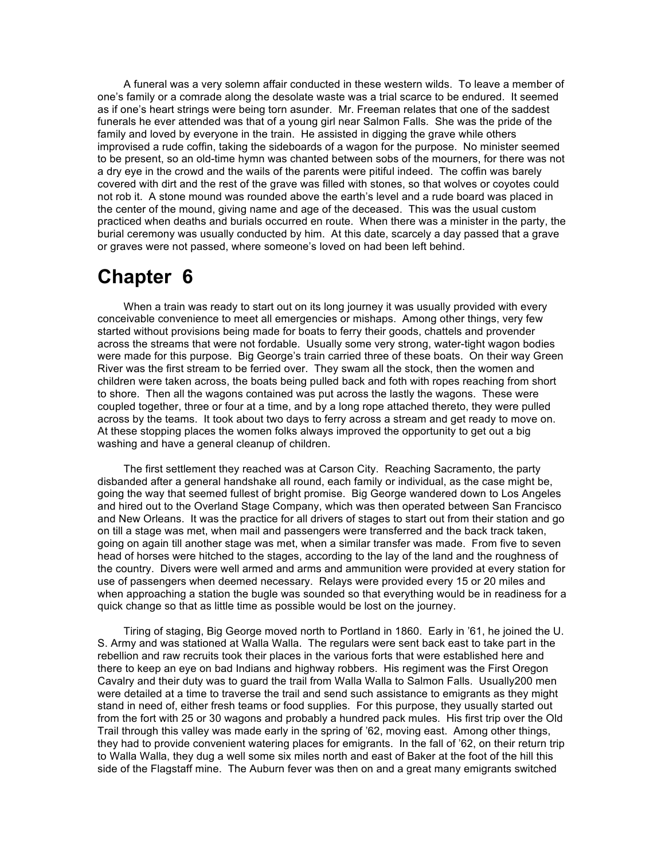A funeral was a very solemn affair conducted in these western wilds. To leave a member of one's family or a comrade along the desolate waste was a trial scarce to be endured. It seemed as if one's heart strings were being torn asunder. Mr. Freeman relates that one of the saddest funerals he ever attended was that of a young girl near Salmon Falls. She was the pride of the family and loved by everyone in the train. He assisted in digging the grave while others improvised a rude coffin, taking the sideboards of a wagon for the purpose. No minister seemed to be present, so an old-time hymn was chanted between sobs of the mourners, for there was not a dry eye in the crowd and the wails of the parents were pitiful indeed. The coffin was barely covered with dirt and the rest of the grave was filled with stones, so that wolves or coyotes could not rob it. A stone mound was rounded above the earth's level and a rude board was placed in the center of the mound, giving name and age of the deceased. This was the usual custom practiced when deaths and burials occurred en route. When there was a minister in the party, the burial ceremony was usually conducted by him. At this date, scarcely a day passed that a grave or graves were not passed, where someone's loved on had been left behind.

### **Chapter 6**

When a train was ready to start out on its long journey it was usually provided with every conceivable convenience to meet all emergencies or mishaps. Among other things, very few started without provisions being made for boats to ferry their goods, chattels and provender across the streams that were not fordable. Usually some very strong, water-tight wagon bodies were made for this purpose. Big George's train carried three of these boats. On their way Green River was the first stream to be ferried over. They swam all the stock, then the women and children were taken across, the boats being pulled back and foth with ropes reaching from short to shore. Then all the wagons contained was put across the lastly the wagons. These were coupled together, three or four at a time, and by a long rope attached thereto, they were pulled across by the teams. It took about two days to ferry across a stream and get ready to move on. At these stopping places the women folks always improved the opportunity to get out a big washing and have a general cleanup of children.

The first settlement they reached was at Carson City. Reaching Sacramento, the party disbanded after a general handshake all round, each family or individual, as the case might be, going the way that seemed fullest of bright promise. Big George wandered down to Los Angeles and hired out to the Overland Stage Company, which was then operated between San Francisco and New Orleans. It was the practice for all drivers of stages to start out from their station and go on till a stage was met, when mail and passengers were transferred and the back track taken, going on again till another stage was met, when a similar transfer was made. From five to seven head of horses were hitched to the stages, according to the lay of the land and the roughness of the country. Divers were well armed and arms and ammunition were provided at every station for use of passengers when deemed necessary. Relays were provided every 15 or 20 miles and when approaching a station the bugle was sounded so that everything would be in readiness for a quick change so that as little time as possible would be lost on the journey.

Tiring of staging, Big George moved north to Portland in 1860. Early in '61, he joined the U. S. Army and was stationed at Walla Walla. The regulars were sent back east to take part in the rebellion and raw recruits took their places in the various forts that were established here and there to keep an eye on bad Indians and highway robbers. His regiment was the First Oregon Cavalry and their duty was to guard the trail from Walla Walla to Salmon Falls. Usually200 men were detailed at a time to traverse the trail and send such assistance to emigrants as they might stand in need of, either fresh teams or food supplies. For this purpose, they usually started out from the fort with 25 or 30 wagons and probably a hundred pack mules. His first trip over the Old Trail through this valley was made early in the spring of '62, moving east. Among other things, they had to provide convenient watering places for emigrants. In the fall of '62, on their return trip to Walla Walla, they dug a well some six miles north and east of Baker at the foot of the hill this side of the Flagstaff mine. The Auburn fever was then on and a great many emigrants switched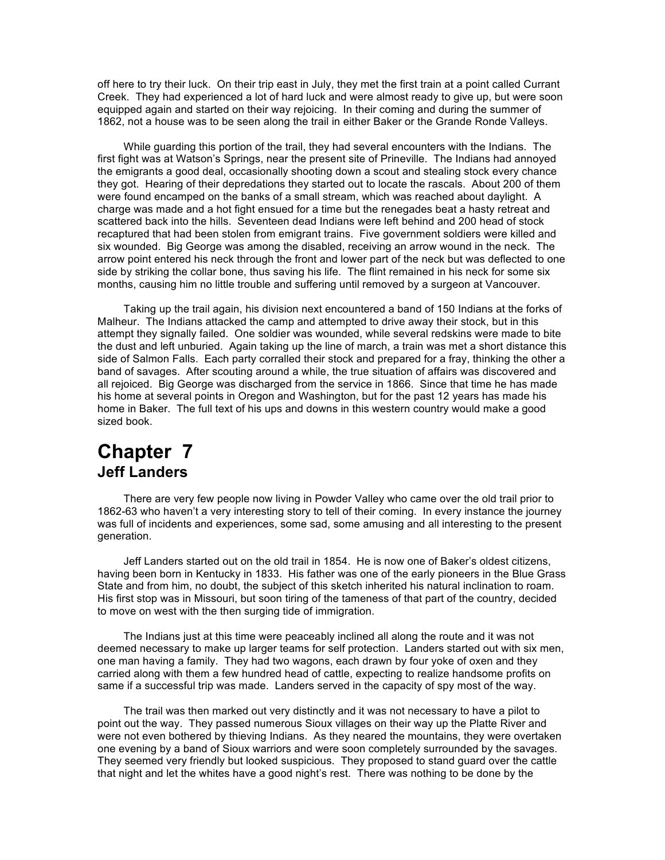off here to try their luck. On their trip east in July, they met the first train at a point called Currant Creek. They had experienced a lot of hard luck and were almost ready to give up, but were soon equipped again and started on their way rejoicing. In their coming and during the summer of 1862, not a house was to be seen along the trail in either Baker or the Grande Ronde Valleys.

While guarding this portion of the trail, they had several encounters with the Indians. The first fight was at Watson's Springs, near the present site of Prineville. The Indians had annoyed the emigrants a good deal, occasionally shooting down a scout and stealing stock every chance they got. Hearing of their depredations they started out to locate the rascals. About 200 of them were found encamped on the banks of a small stream, which was reached about daylight. A charge was made and a hot fight ensued for a time but the renegades beat a hasty retreat and scattered back into the hills. Seventeen dead Indians were left behind and 200 head of stock recaptured that had been stolen from emigrant trains. Five government soldiers were killed and six wounded. Big George was among the disabled, receiving an arrow wound in the neck. The arrow point entered his neck through the front and lower part of the neck but was deflected to one side by striking the collar bone, thus saving his life. The flint remained in his neck for some six months, causing him no little trouble and suffering until removed by a surgeon at Vancouver.

Taking up the trail again, his division next encountered a band of 150 Indians at the forks of Malheur. The Indians attacked the camp and attempted to drive away their stock, but in this attempt they signally failed. One soldier was wounded, while several redskins were made to bite the dust and left unburied. Again taking up the line of march, a train was met a short distance this side of Salmon Falls. Each party corralled their stock and prepared for a fray, thinking the other a band of savages. After scouting around a while, the true situation of affairs was discovered and all rejoiced. Big George was discharged from the service in 1866. Since that time he has made his home at several points in Oregon and Washington, but for the past 12 years has made his home in Baker. The full text of his ups and downs in this western country would make a good sized book.

### **Chapter 7 Jeff Landers**

There are very few people now living in Powder Valley who came over the old trail prior to 1862-63 who haven't a very interesting story to tell of their coming. In every instance the journey was full of incidents and experiences, some sad, some amusing and all interesting to the present generation.

Jeff Landers started out on the old trail in 1854. He is now one of Baker's oldest citizens, having been born in Kentucky in 1833. His father was one of the early pioneers in the Blue Grass State and from him, no doubt, the subject of this sketch inherited his natural inclination to roam. His first stop was in Missouri, but soon tiring of the tameness of that part of the country, decided to move on west with the then surging tide of immigration.

The Indians just at this time were peaceably inclined all along the route and it was not deemed necessary to make up larger teams for self protection. Landers started out with six men, one man having a family. They had two wagons, each drawn by four yoke of oxen and they carried along with them a few hundred head of cattle, expecting to realize handsome profits on same if a successful trip was made. Landers served in the capacity of spy most of the way.

The trail was then marked out very distinctly and it was not necessary to have a pilot to point out the way. They passed numerous Sioux villages on their way up the Platte River and were not even bothered by thieving Indians. As they neared the mountains, they were overtaken one evening by a band of Sioux warriors and were soon completely surrounded by the savages. They seemed very friendly but looked suspicious. They proposed to stand guard over the cattle that night and let the whites have a good night's rest. There was nothing to be done by the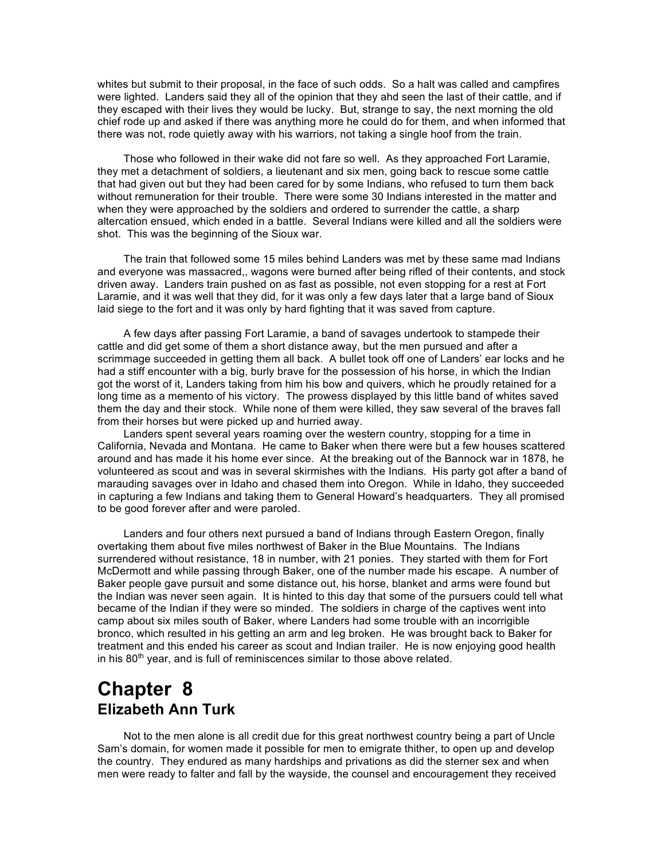whites but submit to their proposal, in the face of such odds. So a halt was called and campfires were lighted. Landers said they all of the opinion that they ahd seen the last of their cattle, and if they escaped with their lives they would be lucky. But, strange to say, the next morning the old chief rode up and asked if there was anything more he could do for them, and when informed that there was not, rode quietly away with his warriors, not taking a single hoof from the train.

Those who followed in their wake did not fare so well. As they approached Fort Laramie, they met a detachment of soldiers, a lieutenant and six men, going back to rescue some cattle that had given out but they had been cared for by some Indians, who refused to turn them back without remuneration for their trouble. There were some 30 Indians interested in the matter and when they were approached by the soldiers and ordered to surrender the cattle, a sharp altercation ensued, which ended in a battle. Several Indians were killed and all the soldiers were shot. This was the beginning of the Sioux war.

The train that followed some 15 miles behind Landers was met by these same mad Indians and everyone was massacred,, wagons were burned after being rifled of their contents, and stock driven away. Landers train pushed on as fast as possible, not even stopping for a rest at Fort Laramie, and it was well that they did, for it was only a few days later that a large band of Sioux laid siege to the fort and it was only by hard fighting that it was saved from capture.

A few days after passing Fort Laramie, a band of savages undertook to stampede their cattle and did get some of them a short distance away, but the men pursued and after a scrimmage succeeded in getting them all back. A bullet took off one of Landers' ear locks and he had a stiff encounter with a big, burly brave for the possession of his horse, in which the Indian got the worst of it, Landers taking from him his bow and quivers, which he proudly retained for a long time as a memento of his victory. The prowess displayed by this little band of whites saved them the day and their stock. While none of them were killed, they saw several of the braves fall from their horses but were picked up and hurried away.

Landers spent several years roaming over the western country, stopping for a time in California, Nevada and Montana. He came to Baker when there were but a few houses scattered around and has made it his home ever since. At the breaking out of the Bannock war in 1878, he volunteered as scout and was in several skirmishes with the Indians. His party got after a band of marauding savages over in Idaho and chased them into Oregon. While in Idaho, they succeeded in capturing a few Indians and taking them to General Howard's headquarters. They all promised to be good forever after and were paroled.

Landers and four others next pursued a band of Indians through Eastern Oregon, finally overtaking them about five miles northwest of Baker in the Blue Mountains. The Indians surrendered without resistance, 18 in number, with 21 ponies. They started with them for Fort McDermott and while passing through Baker, one of the number made his escape. A number of Baker people gave pursuit and some distance out, his horse, blanket and arms were found but the Indian was never seen again. It is hinted to this day that some of the pursuers could tell what became of the Indian if they were so minded. The soldiers in charge of the captives went into camp about six miles south of Baker, where Landers had some trouble with an incorrigible bronco, which resulted in his getting an arm and leg broken. He was brought back to Baker for treatment and this ended his career as scout and Indian trailer. He is now enjoying good health in his  $80<sup>th</sup>$  year, and is full of reminiscences similar to those above related.

### **Chapter 8 Elizabeth Ann Turk**

Not to the men alone is all credit due for this great northwest country being a part of Uncle Sam's domain, for women made it possible for men to emigrate thither, to open up and develop the country. They endured as many hardships and privations as did the sterner sex and when men were ready to falter and fall by the wayside, the counsel and encouragement they received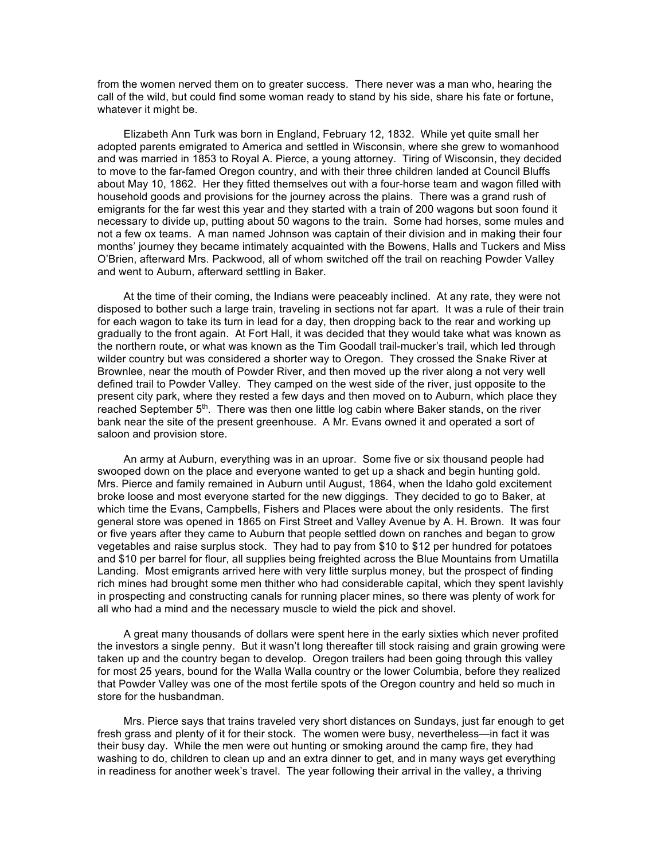from the women nerved them on to greater success. There never was a man who, hearing the call of the wild, but could find some woman ready to stand by his side, share his fate or fortune, whatever it might be.

Elizabeth Ann Turk was born in England, February 12, 1832. While yet quite small her adopted parents emigrated to America and settled in Wisconsin, where she grew to womanhood and was married in 1853 to Royal A. Pierce, a young attorney. Tiring of Wisconsin, they decided to move to the far-famed Oregon country, and with their three children landed at Council Bluffs about May 10, 1862. Her they fitted themselves out with a four-horse team and wagon filled with household goods and provisions for the journey across the plains. There was a grand rush of emigrants for the far west this year and they started with a train of 200 wagons but soon found it necessary to divide up, putting about 50 wagons to the train. Some had horses, some mules and not a few ox teams. A man named Johnson was captain of their division and in making their four months' journey they became intimately acquainted with the Bowens, Halls and Tuckers and Miss O'Brien, afterward Mrs. Packwood, all of whom switched off the trail on reaching Powder Valley and went to Auburn, afterward settling in Baker.

At the time of their coming, the Indians were peaceably inclined. At any rate, they were not disposed to bother such a large train, traveling in sections not far apart. It was a rule of their train for each wagon to take its turn in lead for a day, then dropping back to the rear and working up gradually to the front again. At Fort Hall, it was decided that they would take what was known as the northern route, or what was known as the Tim Goodall trail-mucker's trail, which led through wilder country but was considered a shorter way to Oregon. They crossed the Snake River at Brownlee, near the mouth of Powder River, and then moved up the river along a not very well defined trail to Powder Valley. They camped on the west side of the river, just opposite to the present city park, where they rested a few days and then moved on to Auburn, which place they reached September 5<sup>th</sup>. There was then one little log cabin where Baker stands, on the river bank near the site of the present greenhouse. A Mr. Evans owned it and operated a sort of saloon and provision store.

An army at Auburn, everything was in an uproar. Some five or six thousand people had swooped down on the place and everyone wanted to get up a shack and begin hunting gold. Mrs. Pierce and family remained in Auburn until August, 1864, when the Idaho gold excitement broke loose and most everyone started for the new diggings. They decided to go to Baker, at which time the Evans, Campbells, Fishers and Places were about the only residents. The first general store was opened in 1865 on First Street and Valley Avenue by A. H. Brown. It was four or five years after they came to Auburn that people settled down on ranches and began to grow vegetables and raise surplus stock. They had to pay from \$10 to \$12 per hundred for potatoes and \$10 per barrel for flour, all supplies being freighted across the Blue Mountains from Umatilla Landing. Most emigrants arrived here with very little surplus money, but the prospect of finding rich mines had brought some men thither who had considerable capital, which they spent lavishly in prospecting and constructing canals for running placer mines, so there was plenty of work for all who had a mind and the necessary muscle to wield the pick and shovel.

A great many thousands of dollars were spent here in the early sixties which never profited the investors a single penny. But it wasn't long thereafter till stock raising and grain growing were taken up and the country began to develop. Oregon trailers had been going through this valley for most 25 years, bound for the Walla Walla country or the lower Columbia, before they realized that Powder Valley was one of the most fertile spots of the Oregon country and held so much in store for the husbandman.

Mrs. Pierce says that trains traveled very short distances on Sundays, just far enough to get fresh grass and plenty of it for their stock. The women were busy, nevertheless—in fact it was their busy day. While the men were out hunting or smoking around the camp fire, they had washing to do, children to clean up and an extra dinner to get, and in many ways get everything in readiness for another week's travel. The year following their arrival in the valley, a thriving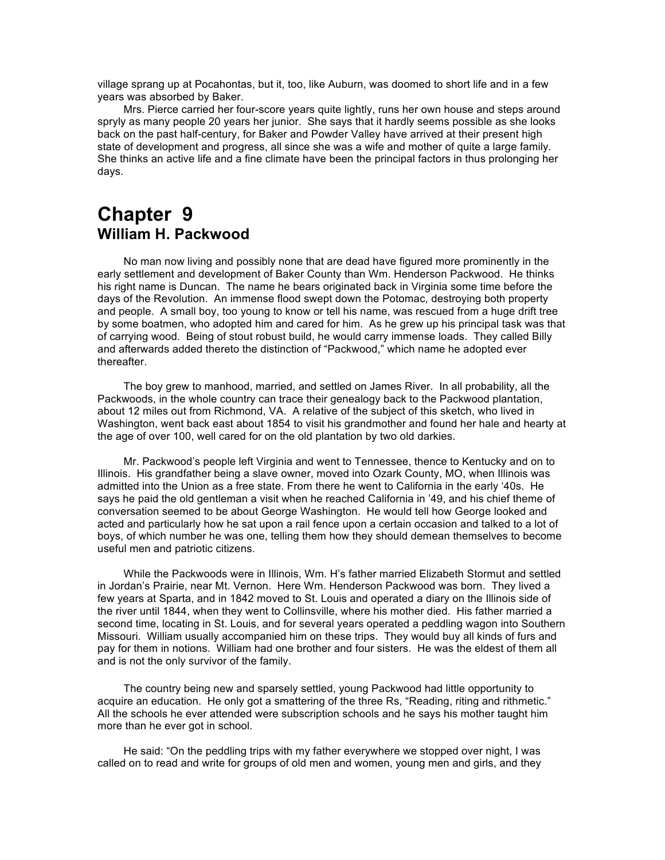village sprang up at Pocahontas, but it, too, like Auburn, was doomed to short life and in a few years was absorbed by Baker.

Mrs. Pierce carried her four-score years quite lightly, runs her own house and steps around spryly as many people 20 years her junior. She says that it hardly seems possible as she looks back on the past half-century, for Baker and Powder Valley have arrived at their present high state of development and progress, all since she was a wife and mother of quite a large family. She thinks an active life and a fine climate have been the principal factors in thus prolonging her days.

### **Chapter 9 William H. Packwood**

No man now living and possibly none that are dead have figured more prominently in the early settlement and development of Baker County than Wm. Henderson Packwood. He thinks his right name is Duncan. The name he bears originated back in Virginia some time before the days of the Revolution. An immense flood swept down the Potomac, destroying both property and people. A small boy, too young to know or tell his name, was rescued from a huge drift tree by some boatmen, who adopted him and cared for him. As he grew up his principal task was that of carrying wood. Being of stout robust build, he would carry immense loads. They called Billy and afterwards added thereto the distinction of "Packwood," which name he adopted ever thereafter.

The boy grew to manhood, married, and settled on James River. In all probability, all the Packwoods, in the whole country can trace their genealogy back to the Packwood plantation, about 12 miles out from Richmond, VA. A relative of the subject of this sketch, who lived in Washington, went back east about 1854 to visit his grandmother and found her hale and hearty at the age of over 100, well cared for on the old plantation by two old darkies.

Mr. Packwood's people left Virginia and went to Tennessee, thence to Kentucky and on to Illinois. His grandfather being a slave owner, moved into Ozark County, MO, when Illinois was admitted into the Union as a free state. From there he went to California in the early '40s. He says he paid the old gentleman a visit when he reached California in '49, and his chief theme of conversation seemed to be about George Washington. He would tell how George looked and acted and particularly how he sat upon a rail fence upon a certain occasion and talked to a lot of boys, of which number he was one, telling them how they should demean themselves to become useful men and patriotic citizens.

While the Packwoods were in Illinois, Wm. H's father married Elizabeth Stormut and settled in Jordan's Prairie, near Mt. Vernon. Here Wm. Henderson Packwood was born. They lived a few years at Sparta, and in 1842 moved to St. Louis and operated a diary on the Illinois side of the river until 1844, when they went to Collinsville, where his mother died. His father married a second time, locating in St. Louis, and for several years operated a peddling wagon into Southern Missouri. William usually accompanied him on these trips. They would buy all kinds of furs and pay for them in notions. William had one brother and four sisters. He was the eldest of them all and is not the only survivor of the family.

The country being new and sparsely settled, young Packwood had little opportunity to acquire an education. He only got a smattering of the three Rs, "Reading, riting and rithmetic." All the schools he ever attended were subscription schools and he says his mother taught him more than he ever got in school.

He said: "On the peddling trips with my father everywhere we stopped over night, I was called on to read and write for groups of old men and women, young men and girls, and they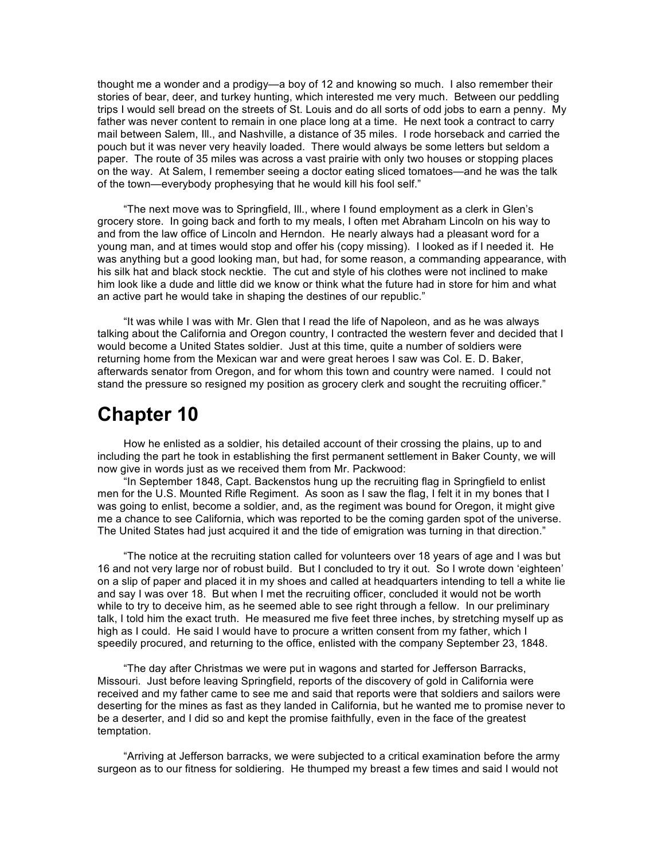thought me a wonder and a prodigy—a boy of 12 and knowing so much. I also remember their stories of bear, deer, and turkey hunting, which interested me very much. Between our peddling trips I would sell bread on the streets of St. Louis and do all sorts of odd jobs to earn a penny. My father was never content to remain in one place long at a time. He next took a contract to carry mail between Salem, Ill., and Nashville, a distance of 35 miles. I rode horseback and carried the pouch but it was never very heavily loaded. There would always be some letters but seldom a paper. The route of 35 miles was across a vast prairie with only two houses or stopping places on the way. At Salem, I remember seeing a doctor eating sliced tomatoes—and he was the talk of the town—everybody prophesying that he would kill his fool self."

"The next move was to Springfield, Ill., where I found employment as a clerk in Glen's grocery store. In going back and forth to my meals, I often met Abraham Lincoln on his way to and from the law office of Lincoln and Herndon. He nearly always had a pleasant word for a young man, and at times would stop and offer his (copy missing). I looked as if I needed it. He was anything but a good looking man, but had, for some reason, a commanding appearance, with his silk hat and black stock necktie. The cut and style of his clothes were not inclined to make him look like a dude and little did we know or think what the future had in store for him and what an active part he would take in shaping the destines of our republic."

"It was while I was with Mr. Glen that I read the life of Napoleon, and as he was always talking about the California and Oregon country, I contracted the western fever and decided that I would become a United States soldier. Just at this time, quite a number of soldiers were returning home from the Mexican war and were great heroes I saw was Col. E. D. Baker, afterwards senator from Oregon, and for whom this town and country were named. I could not stand the pressure so resigned my position as grocery clerk and sought the recruiting officer."

## **Chapter 10**

How he enlisted as a soldier, his detailed account of their crossing the plains, up to and including the part he took in establishing the first permanent settlement in Baker County, we will now give in words just as we received them from Mr. Packwood:

"In September 1848, Capt. Backenstos hung up the recruiting flag in Springfield to enlist men for the U.S. Mounted Rifle Regiment. As soon as I saw the flag, I felt it in my bones that I was going to enlist, become a soldier, and, as the regiment was bound for Oregon, it might give me a chance to see California, which was reported to be the coming garden spot of the universe. The United States had just acquired it and the tide of emigration was turning in that direction."

"The notice at the recruiting station called for volunteers over 18 years of age and I was but 16 and not very large nor of robust build. But I concluded to try it out. So I wrote down 'eighteen' on a slip of paper and placed it in my shoes and called at headquarters intending to tell a white lie and say I was over 18. But when I met the recruiting officer, concluded it would not be worth while to try to deceive him, as he seemed able to see right through a fellow. In our preliminary talk, I told him the exact truth. He measured me five feet three inches, by stretching myself up as high as I could. He said I would have to procure a written consent from my father, which I speedily procured, and returning to the office, enlisted with the company September 23, 1848.

"The day after Christmas we were put in wagons and started for Jefferson Barracks, Missouri. Just before leaving Springfield, reports of the discovery of gold in California were received and my father came to see me and said that reports were that soldiers and sailors were deserting for the mines as fast as they landed in California, but he wanted me to promise never to be a deserter, and I did so and kept the promise faithfully, even in the face of the greatest temptation.

"Arriving at Jefferson barracks, we were subjected to a critical examination before the army surgeon as to our fitness for soldiering. He thumped my breast a few times and said I would not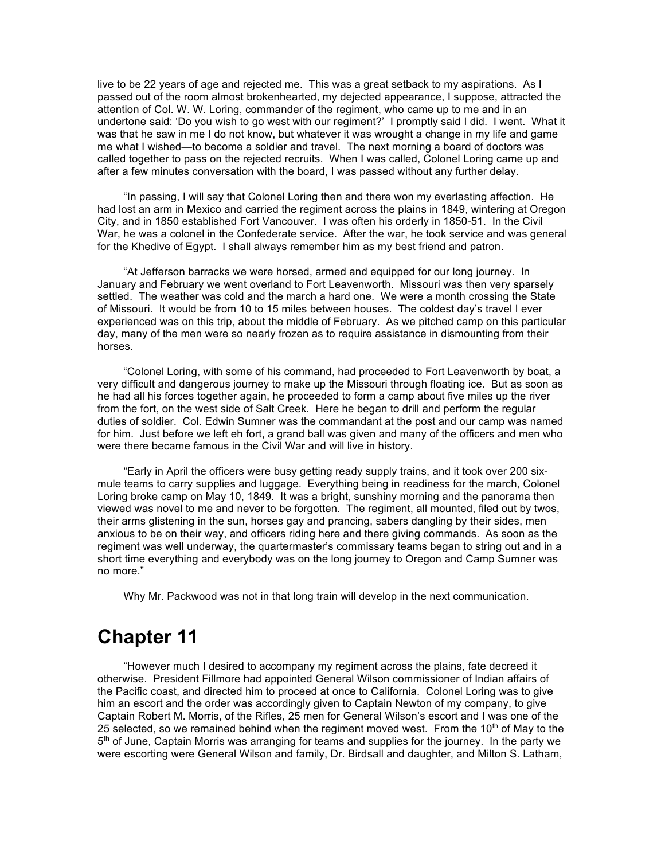live to be 22 years of age and rejected me. This was a great setback to my aspirations. As I passed out of the room almost brokenhearted, my dejected appearance, I suppose, attracted the attention of Col. W. W. Loring, commander of the regiment, who came up to me and in an undertone said: 'Do you wish to go west with our regiment?' I promptly said I did. I went. What it was that he saw in me I do not know, but whatever it was wrought a change in my life and game me what I wished—to become a soldier and travel. The next morning a board of doctors was called together to pass on the rejected recruits. When I was called, Colonel Loring came up and after a few minutes conversation with the board, I was passed without any further delay.

"In passing, I will say that Colonel Loring then and there won my everlasting affection. He had lost an arm in Mexico and carried the regiment across the plains in 1849, wintering at Oregon City, and in 1850 established Fort Vancouver. I was often his orderly in 1850-51. In the Civil War, he was a colonel in the Confederate service. After the war, he took service and was general for the Khedive of Egypt. I shall always remember him as my best friend and patron.

"At Jefferson barracks we were horsed, armed and equipped for our long journey. In January and February we went overland to Fort Leavenworth. Missouri was then very sparsely settled. The weather was cold and the march a hard one. We were a month crossing the State of Missouri. It would be from 10 to 15 miles between houses. The coldest day's travel I ever experienced was on this trip, about the middle of February. As we pitched camp on this particular day, many of the men were so nearly frozen as to require assistance in dismounting from their horses.

"Colonel Loring, with some of his command, had proceeded to Fort Leavenworth by boat, a very difficult and dangerous journey to make up the Missouri through floating ice. But as soon as he had all his forces together again, he proceeded to form a camp about five miles up the river from the fort, on the west side of Salt Creek. Here he began to drill and perform the regular duties of soldier. Col. Edwin Sumner was the commandant at the post and our camp was named for him. Just before we left eh fort, a grand ball was given and many of the officers and men who were there became famous in the Civil War and will live in history.

"Early in April the officers were busy getting ready supply trains, and it took over 200 sixmule teams to carry supplies and luggage. Everything being in readiness for the march, Colonel Loring broke camp on May 10, 1849. It was a bright, sunshiny morning and the panorama then viewed was novel to me and never to be forgotten. The regiment, all mounted, filed out by twos, their arms glistening in the sun, horses gay and prancing, sabers dangling by their sides, men anxious to be on their way, and officers riding here and there giving commands. As soon as the regiment was well underway, the quartermaster's commissary teams began to string out and in a short time everything and everybody was on the long journey to Oregon and Camp Sumner was no more."

Why Mr. Packwood was not in that long train will develop in the next communication.

# **Chapter 11**

"However much I desired to accompany my regiment across the plains, fate decreed it otherwise. President Fillmore had appointed General Wilson commissioner of Indian affairs of the Pacific coast, and directed him to proceed at once to California. Colonel Loring was to give him an escort and the order was accordingly given to Captain Newton of my company, to give Captain Robert M. Morris, of the Rifles, 25 men for General Wilson's escort and I was one of the 25 selected, so we remained behind when the regiment moved west. From the 10<sup>th</sup> of May to the  $5<sup>th</sup>$  of June, Captain Morris was arranging for teams and supplies for the journey. In the party we were escorting were General Wilson and family, Dr. Birdsall and daughter, and Milton S. Latham,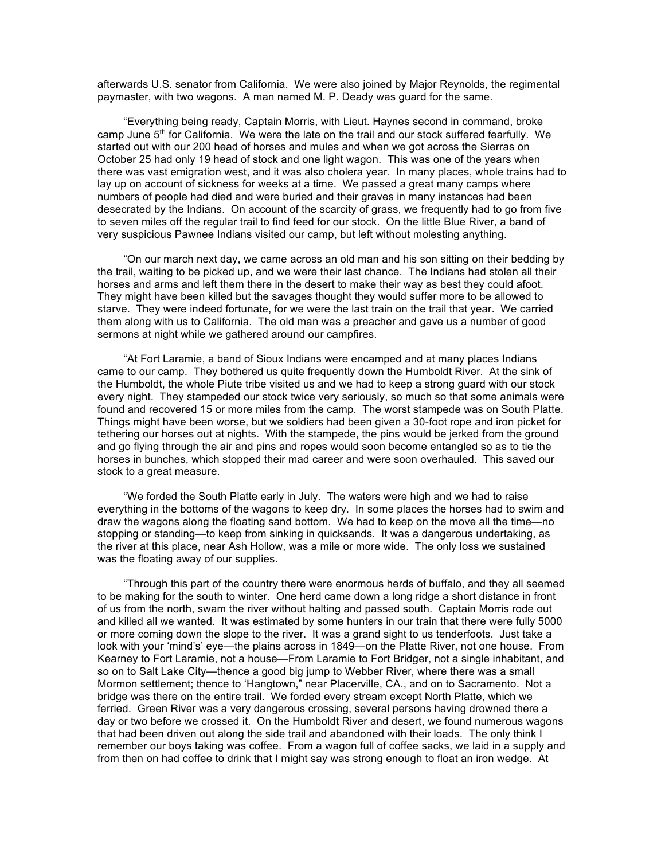afterwards U.S. senator from California. We were also joined by Major Reynolds, the regimental paymaster, with two wagons. A man named M. P. Deady was guard for the same.

"Everything being ready, Captain Morris, with Lieut. Haynes second in command, broke camp June  $5<sup>th</sup>$  for California. We were the late on the trail and our stock suffered fearfully. We started out with our 200 head of horses and mules and when we got across the Sierras on October 25 had only 19 head of stock and one light wagon. This was one of the years when there was vast emigration west, and it was also cholera year. In many places, whole trains had to lay up on account of sickness for weeks at a time. We passed a great many camps where numbers of people had died and were buried and their graves in many instances had been desecrated by the Indians. On account of the scarcity of grass, we frequently had to go from five to seven miles off the regular trail to find feed for our stock. On the little Blue River, a band of very suspicious Pawnee Indians visited our camp, but left without molesting anything.

"On our march next day, we came across an old man and his son sitting on their bedding by the trail, waiting to be picked up, and we were their last chance. The Indians had stolen all their horses and arms and left them there in the desert to make their way as best they could afoot. They might have been killed but the savages thought they would suffer more to be allowed to starve. They were indeed fortunate, for we were the last train on the trail that year. We carried them along with us to California. The old man was a preacher and gave us a number of good sermons at night while we gathered around our campfires.

"At Fort Laramie, a band of Sioux Indians were encamped and at many places Indians came to our camp. They bothered us quite frequently down the Humboldt River. At the sink of the Humboldt, the whole Piute tribe visited us and we had to keep a strong guard with our stock every night. They stampeded our stock twice very seriously, so much so that some animals were found and recovered 15 or more miles from the camp. The worst stampede was on South Platte. Things might have been worse, but we soldiers had been given a 30-foot rope and iron picket for tethering our horses out at nights. With the stampede, the pins would be jerked from the ground and go flying through the air and pins and ropes would soon become entangled so as to tie the horses in bunches, which stopped their mad career and were soon overhauled. This saved our stock to a great measure.

"We forded the South Platte early in July. The waters were high and we had to raise everything in the bottoms of the wagons to keep dry. In some places the horses had to swim and draw the wagons along the floating sand bottom. We had to keep on the move all the time—no stopping or standing—to keep from sinking in quicksands. It was a dangerous undertaking, as the river at this place, near Ash Hollow, was a mile or more wide. The only loss we sustained was the floating away of our supplies.

"Through this part of the country there were enormous herds of buffalo, and they all seemed to be making for the south to winter. One herd came down a long ridge a short distance in front of us from the north, swam the river without halting and passed south. Captain Morris rode out and killed all we wanted. It was estimated by some hunters in our train that there were fully 5000 or more coming down the slope to the river. It was a grand sight to us tenderfoots. Just take a look with your 'mind's' eye—the plains across in 1849—on the Platte River, not one house. From Kearney to Fort Laramie, not a house—From Laramie to Fort Bridger, not a single inhabitant, and so on to Salt Lake City—thence a good big jump to Webber River, where there was a small Mormon settlement; thence to 'Hangtown," near Placerville, CA., and on to Sacramento. Not a bridge was there on the entire trail. We forded every stream except North Platte, which we ferried. Green River was a very dangerous crossing, several persons having drowned there a day or two before we crossed it. On the Humboldt River and desert, we found numerous wagons that had been driven out along the side trail and abandoned with their loads. The only think I remember our boys taking was coffee. From a wagon full of coffee sacks, we laid in a supply and from then on had coffee to drink that I might say was strong enough to float an iron wedge. At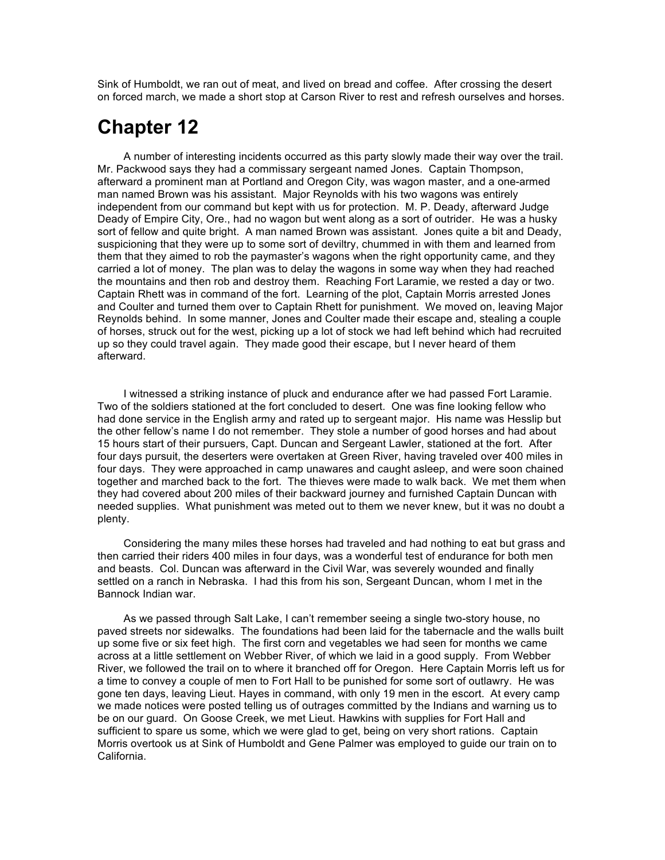Sink of Humboldt, we ran out of meat, and lived on bread and coffee. After crossing the desert on forced march, we made a short stop at Carson River to rest and refresh ourselves and horses.

# **Chapter 12**

A number of interesting incidents occurred as this party slowly made their way over the trail. Mr. Packwood says they had a commissary sergeant named Jones. Captain Thompson, afterward a prominent man at Portland and Oregon City, was wagon master, and a one-armed man named Brown was his assistant. Major Reynolds with his two wagons was entirely independent from our command but kept with us for protection. M. P. Deady, afterward Judge Deady of Empire City, Ore., had no wagon but went along as a sort of outrider. He was a husky sort of fellow and quite bright. A man named Brown was assistant. Jones quite a bit and Deady, suspicioning that they were up to some sort of deviltry, chummed in with them and learned from them that they aimed to rob the paymaster's wagons when the right opportunity came, and they carried a lot of money. The plan was to delay the wagons in some way when they had reached the mountains and then rob and destroy them. Reaching Fort Laramie, we rested a day or two. Captain Rhett was in command of the fort. Learning of the plot, Captain Morris arrested Jones and Coulter and turned them over to Captain Rhett for punishment. We moved on, leaving Major Reynolds behind. In some manner, Jones and Coulter made their escape and, stealing a couple of horses, struck out for the west, picking up a lot of stock we had left behind which had recruited up so they could travel again. They made good their escape, but I never heard of them afterward.

I witnessed a striking instance of pluck and endurance after we had passed Fort Laramie. Two of the soldiers stationed at the fort concluded to desert. One was fine looking fellow who had done service in the English army and rated up to sergeant major. His name was Hesslip but the other fellow's name I do not remember. They stole a number of good horses and had about 15 hours start of their pursuers, Capt. Duncan and Sergeant Lawler, stationed at the fort. After four days pursuit, the deserters were overtaken at Green River, having traveled over 400 miles in four days. They were approached in camp unawares and caught asleep, and were soon chained together and marched back to the fort. The thieves were made to walk back. We met them when they had covered about 200 miles of their backward journey and furnished Captain Duncan with needed supplies. What punishment was meted out to them we never knew, but it was no doubt a plenty.

Considering the many miles these horses had traveled and had nothing to eat but grass and then carried their riders 400 miles in four days, was a wonderful test of endurance for both men and beasts. Col. Duncan was afterward in the Civil War, was severely wounded and finally settled on a ranch in Nebraska. I had this from his son, Sergeant Duncan, whom I met in the Bannock Indian war.

As we passed through Salt Lake, I can't remember seeing a single two-story house, no paved streets nor sidewalks. The foundations had been laid for the tabernacle and the walls built up some five or six feet high. The first corn and vegetables we had seen for months we came across at a little settlement on Webber River, of which we laid in a good supply. From Webber River, we followed the trail on to where it branched off for Oregon. Here Captain Morris left us for a time to convey a couple of men to Fort Hall to be punished for some sort of outlawry. He was gone ten days, leaving Lieut. Hayes in command, with only 19 men in the escort. At every camp we made notices were posted telling us of outrages committed by the Indians and warning us to be on our guard. On Goose Creek, we met Lieut. Hawkins with supplies for Fort Hall and sufficient to spare us some, which we were glad to get, being on very short rations. Captain Morris overtook us at Sink of Humboldt and Gene Palmer was employed to guide our train on to California.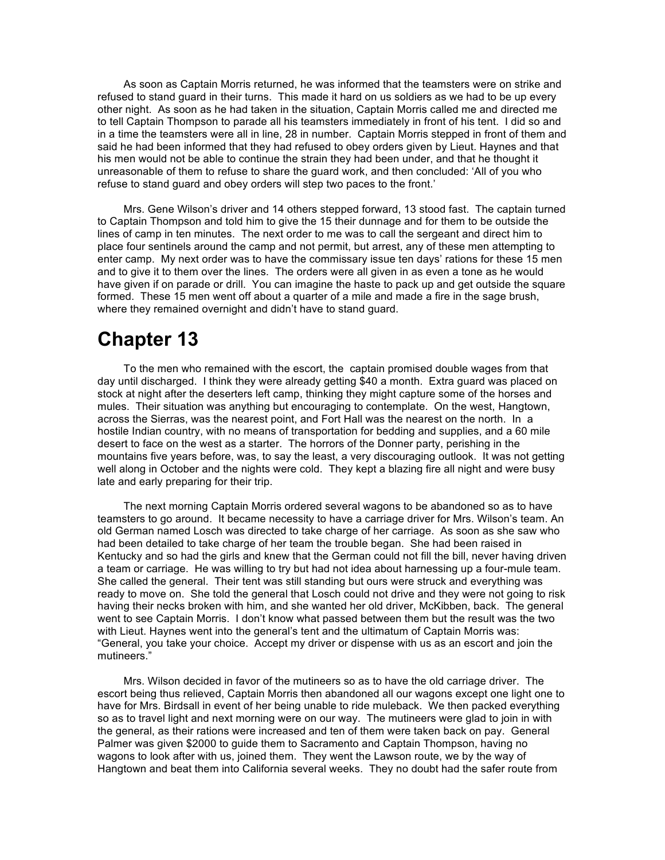As soon as Captain Morris returned, he was informed that the teamsters were on strike and refused to stand guard in their turns. This made it hard on us soldiers as we had to be up every other night. As soon as he had taken in the situation, Captain Morris called me and directed me to tell Captain Thompson to parade all his teamsters immediately in front of his tent. I did so and in a time the teamsters were all in line, 28 in number. Captain Morris stepped in front of them and said he had been informed that they had refused to obey orders given by Lieut. Haynes and that his men would not be able to continue the strain they had been under, and that he thought it unreasonable of them to refuse to share the guard work, and then concluded: 'All of you who refuse to stand guard and obey orders will step two paces to the front.'

Mrs. Gene Wilson's driver and 14 others stepped forward, 13 stood fast. The captain turned to Captain Thompson and told him to give the 15 their dunnage and for them to be outside the lines of camp in ten minutes. The next order to me was to call the sergeant and direct him to place four sentinels around the camp and not permit, but arrest, any of these men attempting to enter camp. My next order was to have the commissary issue ten days' rations for these 15 men and to give it to them over the lines. The orders were all given in as even a tone as he would have given if on parade or drill. You can imagine the haste to pack up and get outside the square formed. These 15 men went off about a quarter of a mile and made a fire in the sage brush, where they remained overnight and didn't have to stand guard.

## **Chapter 13**

To the men who remained with the escort, the captain promised double wages from that day until discharged. I think they were already getting \$40 a month. Extra guard was placed on stock at night after the deserters left camp, thinking they might capture some of the horses and mules. Their situation was anything but encouraging to contemplate. On the west, Hangtown, across the Sierras, was the nearest point, and Fort Hall was the nearest on the north. In a hostile Indian country, with no means of transportation for bedding and supplies, and a 60 mile desert to face on the west as a starter. The horrors of the Donner party, perishing in the mountains five years before, was, to say the least, a very discouraging outlook. It was not getting well along in October and the nights were cold. They kept a blazing fire all night and were busy late and early preparing for their trip.

The next morning Captain Morris ordered several wagons to be abandoned so as to have teamsters to go around. It became necessity to have a carriage driver for Mrs. Wilson's team. An old German named Losch was directed to take charge of her carriage. As soon as she saw who had been detailed to take charge of her team the trouble began. She had been raised in Kentucky and so had the girls and knew that the German could not fill the bill, never having driven a team or carriage. He was willing to try but had not idea about harnessing up a four-mule team. She called the general. Their tent was still standing but ours were struck and everything was ready to move on. She told the general that Losch could not drive and they were not going to risk having their necks broken with him, and she wanted her old driver, McKibben, back. The general went to see Captain Morris. I don't know what passed between them but the result was the two with Lieut. Haynes went into the general's tent and the ultimatum of Captain Morris was: "General, you take your choice. Accept my driver or dispense with us as an escort and join the mutineers."

Mrs. Wilson decided in favor of the mutineers so as to have the old carriage driver. The escort being thus relieved, Captain Morris then abandoned all our wagons except one light one to have for Mrs. Birdsall in event of her being unable to ride muleback. We then packed everything so as to travel light and next morning were on our way. The mutineers were glad to join in with the general, as their rations were increased and ten of them were taken back on pay. General Palmer was given \$2000 to guide them to Sacramento and Captain Thompson, having no wagons to look after with us, joined them. They went the Lawson route, we by the way of Hangtown and beat them into California several weeks. They no doubt had the safer route from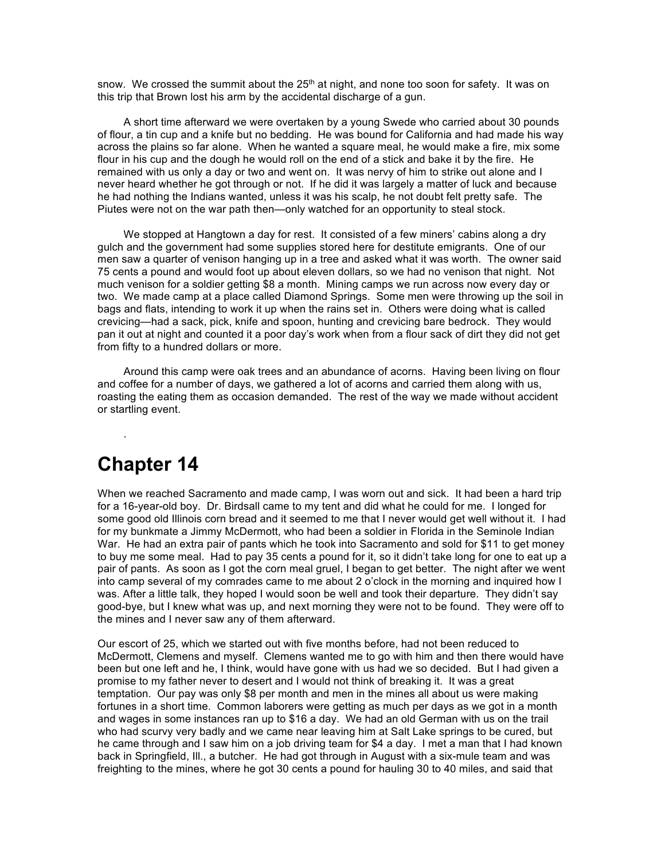snow. We crossed the summit about the  $25<sup>th</sup>$  at night, and none too soon for safety. It was on this trip that Brown lost his arm by the accidental discharge of a gun.

A short time afterward we were overtaken by a young Swede who carried about 30 pounds of flour, a tin cup and a knife but no bedding. He was bound for California and had made his way across the plains so far alone. When he wanted a square meal, he would make a fire, mix some flour in his cup and the dough he would roll on the end of a stick and bake it by the fire. He remained with us only a day or two and went on. It was nervy of him to strike out alone and I never heard whether he got through or not. If he did it was largely a matter of luck and because he had nothing the Indians wanted, unless it was his scalp, he not doubt felt pretty safe. The Piutes were not on the war path then—only watched for an opportunity to steal stock.

We stopped at Hangtown a day for rest. It consisted of a few miners' cabins along a dry gulch and the government had some supplies stored here for destitute emigrants. One of our men saw a quarter of venison hanging up in a tree and asked what it was worth. The owner said 75 cents a pound and would foot up about eleven dollars, so we had no venison that night. Not much venison for a soldier getting \$8 a month. Mining camps we run across now every day or two. We made camp at a place called Diamond Springs. Some men were throwing up the soil in bags and flats, intending to work it up when the rains set in. Others were doing what is called crevicing—had a sack, pick, knife and spoon, hunting and crevicing bare bedrock. They would pan it out at night and counted it a poor day's work when from a flour sack of dirt they did not get from fifty to a hundred dollars or more.

Around this camp were oak trees and an abundance of acorns. Having been living on flour and coffee for a number of days, we gathered a lot of acorns and carried them along with us, roasting the eating them as occasion demanded. The rest of the way we made without accident or startling event.

# **Chapter 14**

.

When we reached Sacramento and made camp, I was worn out and sick. It had been a hard trip for a 16-year-old boy. Dr. Birdsall came to my tent and did what he could for me. I longed for some good old Illinois corn bread and it seemed to me that I never would get well without it. I had for my bunkmate a Jimmy McDermott, who had been a soldier in Florida in the Seminole Indian War. He had an extra pair of pants which he took into Sacramento and sold for \$11 to get money to buy me some meal. Had to pay 35 cents a pound for it, so it didn't take long for one to eat up a pair of pants. As soon as I got the corn meal gruel, I began to get better. The night after we went into camp several of my comrades came to me about 2 o'clock in the morning and inquired how I was. After a little talk, they hoped I would soon be well and took their departure. They didn't say good-bye, but I knew what was up, and next morning they were not to be found. They were off to the mines and I never saw any of them afterward.

Our escort of 25, which we started out with five months before, had not been reduced to McDermott, Clemens and myself. Clemens wanted me to go with him and then there would have been but one left and he, I think, would have gone with us had we so decided. But I had given a promise to my father never to desert and I would not think of breaking it. It was a great temptation. Our pay was only \$8 per month and men in the mines all about us were making fortunes in a short time. Common laborers were getting as much per days as we got in a month and wages in some instances ran up to \$16 a day. We had an old German with us on the trail who had scurvy very badly and we came near leaving him at Salt Lake springs to be cured, but he came through and I saw him on a job driving team for \$4 a day. I met a man that I had known back in Springfield, Ill., a butcher. He had got through in August with a six-mule team and was freighting to the mines, where he got 30 cents a pound for hauling 30 to 40 miles, and said that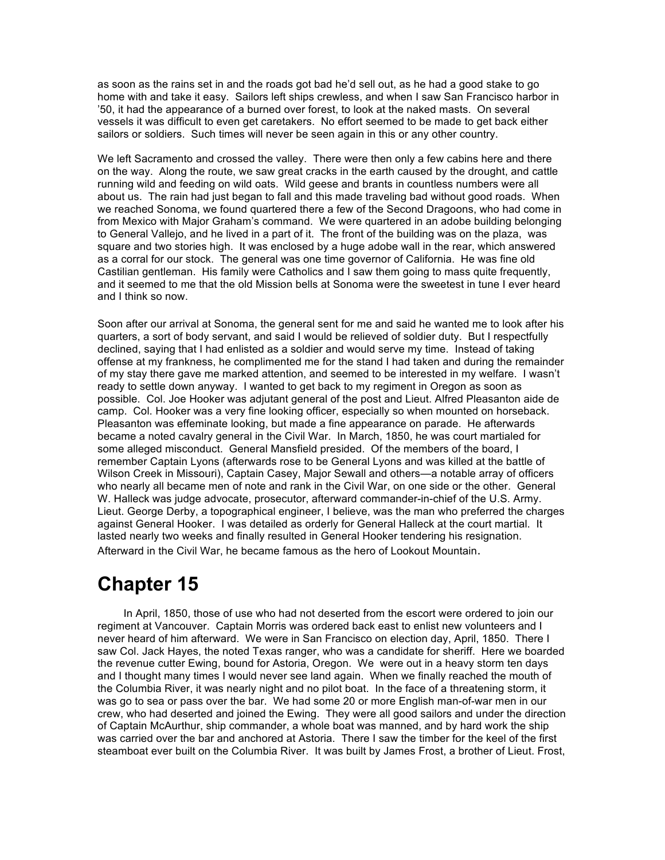as soon as the rains set in and the roads got bad he'd sell out, as he had a good stake to go home with and take it easy. Sailors left ships crewless, and when I saw San Francisco harbor in '50, it had the appearance of a burned over forest, to look at the naked masts. On several vessels it was difficult to even get caretakers. No effort seemed to be made to get back either sailors or soldiers. Such times will never be seen again in this or any other country.

We left Sacramento and crossed the valley. There were then only a few cabins here and there on the way. Along the route, we saw great cracks in the earth caused by the drought, and cattle running wild and feeding on wild oats. Wild geese and brants in countless numbers were all about us. The rain had just began to fall and this made traveling bad without good roads. When we reached Sonoma, we found quartered there a few of the Second Dragoons, who had come in from Mexico with Major Graham's command. We were quartered in an adobe building belonging to General Vallejo, and he lived in a part of it. The front of the building was on the plaza, was square and two stories high. It was enclosed by a huge adobe wall in the rear, which answered as a corral for our stock. The general was one time governor of California. He was fine old Castilian gentleman. His family were Catholics and I saw them going to mass quite frequently, and it seemed to me that the old Mission bells at Sonoma were the sweetest in tune I ever heard and I think so now.

Soon after our arrival at Sonoma, the general sent for me and said he wanted me to look after his quarters, a sort of body servant, and said I would be relieved of soldier duty. But I respectfully declined, saying that I had enlisted as a soldier and would serve my time. Instead of taking offense at my frankness, he complimented me for the stand I had taken and during the remainder of my stay there gave me marked attention, and seemed to be interested in my welfare. I wasn't ready to settle down anyway. I wanted to get back to my regiment in Oregon as soon as possible. Col. Joe Hooker was adjutant general of the post and Lieut. Alfred Pleasanton aide de camp. Col. Hooker was a very fine looking officer, especially so when mounted on horseback. Pleasanton was effeminate looking, but made a fine appearance on parade. He afterwards became a noted cavalry general in the Civil War. In March, 1850, he was court martialed for some alleged misconduct. General Mansfield presided. Of the members of the board, I remember Captain Lyons (afterwards rose to be General Lyons and was killed at the battle of Wilson Creek in Missouri), Captain Casey, Major Sewall and others—a notable array of officers who nearly all became men of note and rank in the Civil War, on one side or the other. General W. Halleck was judge advocate, prosecutor, afterward commander-in-chief of the U.S. Army. Lieut. George Derby, a topographical engineer, I believe, was the man who preferred the charges against General Hooker. I was detailed as orderly for General Halleck at the court martial. It lasted nearly two weeks and finally resulted in General Hooker tendering his resignation. Afterward in the Civil War, he became famous as the hero of Lookout Mountain.

# **Chapter 15**

In April, 1850, those of use who had not deserted from the escort were ordered to join our regiment at Vancouver. Captain Morris was ordered back east to enlist new volunteers and I never heard of him afterward. We were in San Francisco on election day, April, 1850. There I saw Col. Jack Hayes, the noted Texas ranger, who was a candidate for sheriff. Here we boarded the revenue cutter Ewing, bound for Astoria, Oregon. We were out in a heavy storm ten days and I thought many times I would never see land again. When we finally reached the mouth of the Columbia River, it was nearly night and no pilot boat. In the face of a threatening storm, it was go to sea or pass over the bar. We had some 20 or more English man-of-war men in our crew, who had deserted and joined the Ewing. They were all good sailors and under the direction of Captain McAurthur, ship commander, a whole boat was manned, and by hard work the ship was carried over the bar and anchored at Astoria. There I saw the timber for the keel of the first steamboat ever built on the Columbia River. It was built by James Frost, a brother of Lieut. Frost,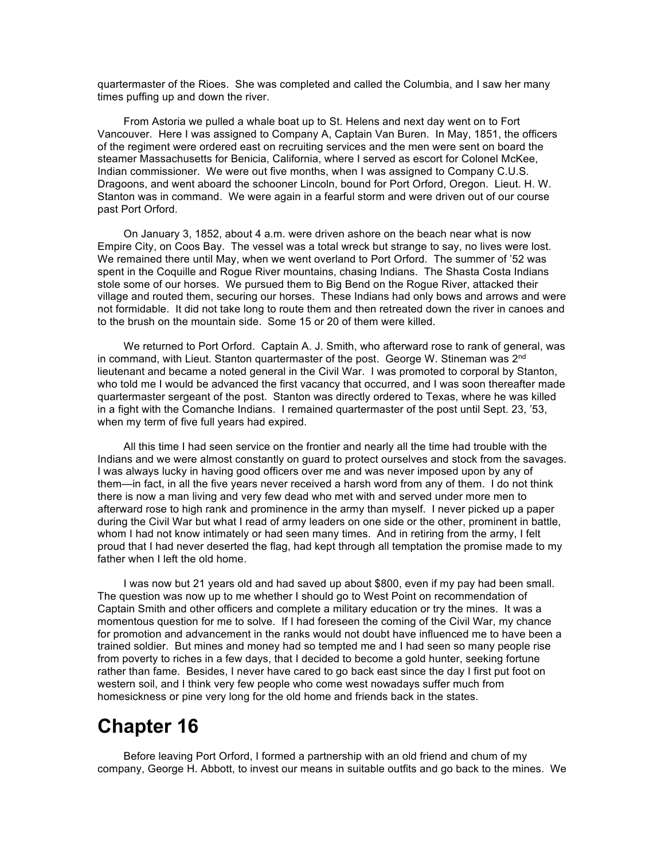quartermaster of the Rioes. She was completed and called the Columbia, and I saw her many times puffing up and down the river.

From Astoria we pulled a whale boat up to St. Helens and next day went on to Fort Vancouver. Here I was assigned to Company A, Captain Van Buren. In May, 1851, the officers of the regiment were ordered east on recruiting services and the men were sent on board the steamer Massachusetts for Benicia, California, where I served as escort for Colonel McKee, Indian commissioner. We were out five months, when I was assigned to Company C.U.S. Dragoons, and went aboard the schooner Lincoln, bound for Port Orford, Oregon. Lieut. H. W. Stanton was in command. We were again in a fearful storm and were driven out of our course past Port Orford.

On January 3, 1852, about 4 a.m. were driven ashore on the beach near what is now Empire City, on Coos Bay. The vessel was a total wreck but strange to say, no lives were lost. We remained there until May, when we went overland to Port Orford. The summer of '52 was spent in the Coquille and Rogue River mountains, chasing Indians. The Shasta Costa Indians stole some of our horses. We pursued them to Big Bend on the Rogue River, attacked their village and routed them, securing our horses. These Indians had only bows and arrows and were not formidable. It did not take long to route them and then retreated down the river in canoes and to the brush on the mountain side. Some 15 or 20 of them were killed.

We returned to Port Orford. Captain A. J. Smith, who afterward rose to rank of general, was in command, with Lieut. Stanton quartermaster of the post. George W. Stineman was 2<sup>nd</sup> lieutenant and became a noted general in the Civil War. I was promoted to corporal by Stanton, who told me I would be advanced the first vacancy that occurred, and I was soon thereafter made quartermaster sergeant of the post. Stanton was directly ordered to Texas, where he was killed in a fight with the Comanche Indians. I remained quartermaster of the post until Sept. 23, '53, when my term of five full years had expired.

All this time I had seen service on the frontier and nearly all the time had trouble with the Indians and we were almost constantly on guard to protect ourselves and stock from the savages. I was always lucky in having good officers over me and was never imposed upon by any of them—in fact, in all the five years never received a harsh word from any of them. I do not think there is now a man living and very few dead who met with and served under more men to afterward rose to high rank and prominence in the army than myself. I never picked up a paper during the Civil War but what I read of army leaders on one side or the other, prominent in battle, whom I had not know intimately or had seen many times. And in retiring from the army, I felt proud that I had never deserted the flag, had kept through all temptation the promise made to my father when I left the old home.

I was now but 21 years old and had saved up about \$800, even if my pay had been small. The question was now up to me whether I should go to West Point on recommendation of Captain Smith and other officers and complete a military education or try the mines. It was a momentous question for me to solve. If I had foreseen the coming of the Civil War, my chance for promotion and advancement in the ranks would not doubt have influenced me to have been a trained soldier. But mines and money had so tempted me and I had seen so many people rise from poverty to riches in a few days, that I decided to become a gold hunter, seeking fortune rather than fame. Besides, I never have cared to go back east since the day I first put foot on western soil, and I think very few people who come west nowadays suffer much from homesickness or pine very long for the old home and friends back in the states.

# **Chapter 16**

Before leaving Port Orford, I formed a partnership with an old friend and chum of my company, George H. Abbott, to invest our means in suitable outfits and go back to the mines. We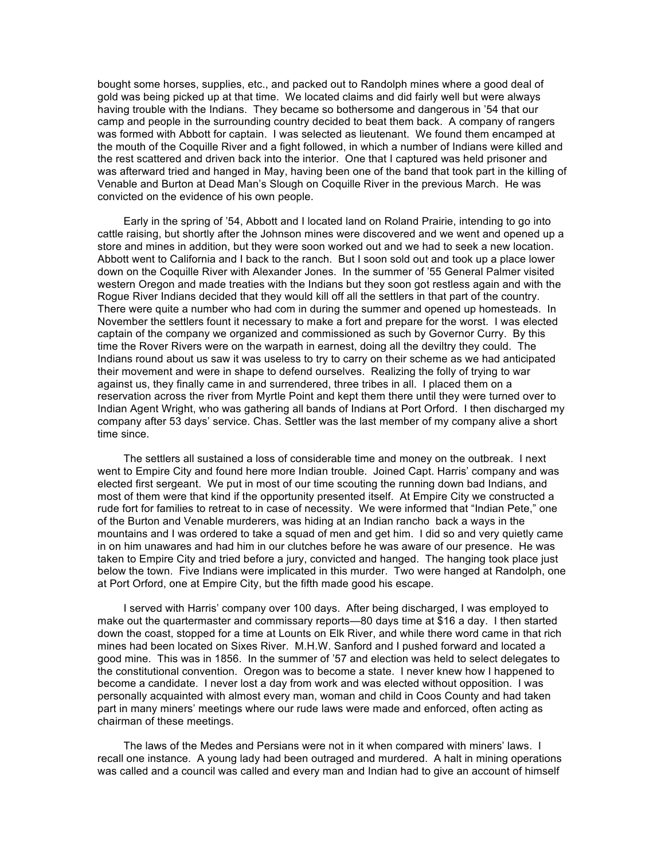bought some horses, supplies, etc., and packed out to Randolph mines where a good deal of gold was being picked up at that time. We located claims and did fairly well but were always having trouble with the Indians. They became so bothersome and dangerous in '54 that our camp and people in the surrounding country decided to beat them back. A company of rangers was formed with Abbott for captain. I was selected as lieutenant. We found them encamped at the mouth of the Coquille River and a fight followed, in which a number of Indians were killed and the rest scattered and driven back into the interior. One that I captured was held prisoner and was afterward tried and hanged in May, having been one of the band that took part in the killing of Venable and Burton at Dead Man's Slough on Coquille River in the previous March. He was convicted on the evidence of his own people.

Early in the spring of '54, Abbott and I located land on Roland Prairie, intending to go into cattle raising, but shortly after the Johnson mines were discovered and we went and opened up a store and mines in addition, but they were soon worked out and we had to seek a new location. Abbott went to California and I back to the ranch. But I soon sold out and took up a place lower down on the Coquille River with Alexander Jones. In the summer of '55 General Palmer visited western Oregon and made treaties with the Indians but they soon got restless again and with the Rogue River Indians decided that they would kill off all the settlers in that part of the country. There were quite a number who had com in during the summer and opened up homesteads. In November the settlers fount it necessary to make a fort and prepare for the worst. I was elected captain of the company we organized and commissioned as such by Governor Curry. By this time the Rover Rivers were on the warpath in earnest, doing all the deviltry they could. The Indians round about us saw it was useless to try to carry on their scheme as we had anticipated their movement and were in shape to defend ourselves. Realizing the folly of trying to war against us, they finally came in and surrendered, three tribes in all. I placed them on a reservation across the river from Myrtle Point and kept them there until they were turned over to Indian Agent Wright, who was gathering all bands of Indians at Port Orford. I then discharged my company after 53 days' service. Chas. Settler was the last member of my company alive a short time since.

The settlers all sustained a loss of considerable time and money on the outbreak. I next went to Empire City and found here more Indian trouble. Joined Capt. Harris' company and was elected first sergeant. We put in most of our time scouting the running down bad Indians, and most of them were that kind if the opportunity presented itself. At Empire City we constructed a rude fort for families to retreat to in case of necessity. We were informed that "Indian Pete," one of the Burton and Venable murderers, was hiding at an Indian rancho back a ways in the mountains and I was ordered to take a squad of men and get him. I did so and very quietly came in on him unawares and had him in our clutches before he was aware of our presence. He was taken to Empire City and tried before a jury, convicted and hanged. The hanging took place just below the town. Five Indians were implicated in this murder. Two were hanged at Randolph, one at Port Orford, one at Empire City, but the fifth made good his escape.

I served with Harris' company over 100 days. After being discharged, I was employed to make out the quartermaster and commissary reports—80 days time at \$16 a day. I then started down the coast, stopped for a time at Lounts on Elk River, and while there word came in that rich mines had been located on Sixes River. M.H.W. Sanford and I pushed forward and located a good mine. This was in 1856. In the summer of '57 and election was held to select delegates to the constitutional convention. Oregon was to become a state. I never knew how I happened to become a candidate. I never lost a day from work and was elected without opposition. I was personally acquainted with almost every man, woman and child in Coos County and had taken part in many miners' meetings where our rude laws were made and enforced, often acting as chairman of these meetings.

The laws of the Medes and Persians were not in it when compared with miners' laws. I recall one instance. A young lady had been outraged and murdered. A halt in mining operations was called and a council was called and every man and Indian had to give an account of himself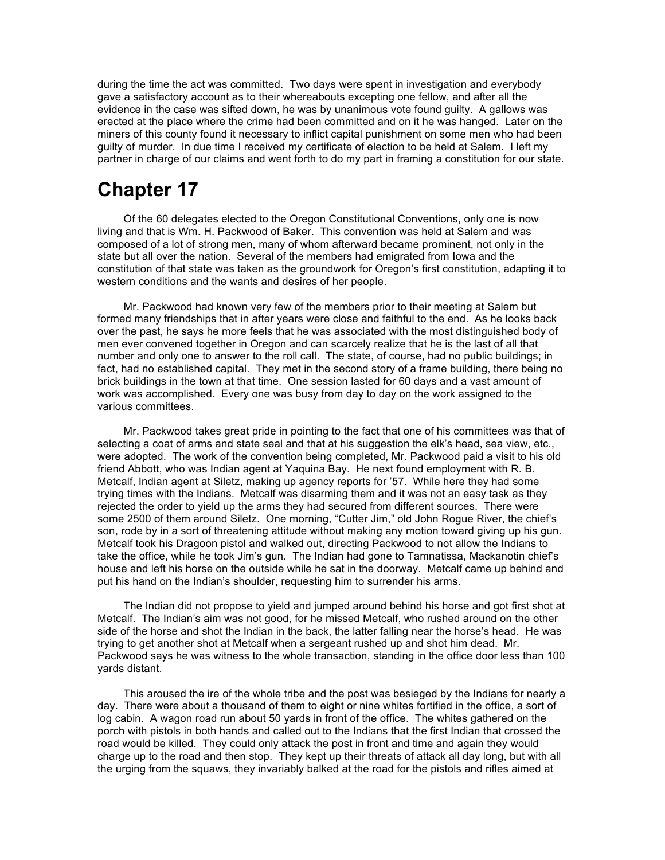during the time the act was committed. Two days were spent in investigation and everybody gave a satisfactory account as to their whereabouts excepting one fellow, and after all the evidence in the case was sifted down, he was by unanimous vote found guilty. A gallows was erected at the place where the crime had been committed and on it he was hanged. Later on the miners of this county found it necessary to inflict capital punishment on some men who had been guilty of murder. In due time I received my certificate of election to be held at Salem. I left my partner in charge of our claims and went forth to do my part in framing a constitution for our state.

# **Chapter 17**

Of the 60 delegates elected to the Oregon Constitutional Conventions, only one is now living and that is Wm. H. Packwood of Baker. This convention was held at Salem and was composed of a lot of strong men, many of whom afterward became prominent, not only in the state but all over the nation. Several of the members had emigrated from Iowa and the constitution of that state was taken as the groundwork for Oregon's first constitution, adapting it to western conditions and the wants and desires of her people.

Mr. Packwood had known very few of the members prior to their meeting at Salem but formed many friendships that in after years were close and faithful to the end. As he looks back over the past, he says he more feels that he was associated with the most distinguished body of men ever convened together in Oregon and can scarcely realize that he is the last of all that number and only one to answer to the roll call. The state, of course, had no public buildings; in fact, had no established capital. They met in the second story of a frame building, there being no brick buildings in the town at that time. One session lasted for 60 days and a vast amount of work was accomplished. Every one was busy from day to day on the work assigned to the various committees.

Mr. Packwood takes great pride in pointing to the fact that one of his committees was that of selecting a coat of arms and state seal and that at his suggestion the elk's head, sea view, etc., were adopted. The work of the convention being completed, Mr. Packwood paid a visit to his old friend Abbott, who was Indian agent at Yaquina Bay. He next found employment with R. B. Metcalf, Indian agent at Siletz, making up agency reports for '57. While here they had some trying times with the Indians. Metcalf was disarming them and it was not an easy task as they rejected the order to yield up the arms they had secured from different sources. There were some 2500 of them around Siletz. One morning, "Cutter Jim," old John Rogue River, the chief's son, rode by in a sort of threatening attitude without making any motion toward giving up his gun. Metcalf took his Dragoon pistol and walked out, directing Packwood to not allow the Indians to take the office, while he took Jim's gun. The Indian had gone to Tamnatissa, Mackanotin chief's house and left his horse on the outside while he sat in the doorway. Metcalf came up behind and put his hand on the Indian's shoulder, requesting him to surrender his arms.

The Indian did not propose to yield and jumped around behind his horse and got first shot at Metcalf. The Indian's aim was not good, for he missed Metcalf, who rushed around on the other side of the horse and shot the Indian in the back, the latter falling near the horse's head. He was trying to get another shot at Metcalf when a sergeant rushed up and shot him dead. Mr. Packwood says he was witness to the whole transaction, standing in the office door less than 100 yards distant.

This aroused the ire of the whole tribe and the post was besieged by the Indians for nearly a day. There were about a thousand of them to eight or nine whites fortified in the office, a sort of log cabin. A wagon road run about 50 yards in front of the office. The whites gathered on the porch with pistols in both hands and called out to the Indians that the first Indian that crossed the road would be killed. They could only attack the post in front and time and again they would charge up to the road and then stop. They kept up their threats of attack all day long, but with all the urging from the squaws, they invariably balked at the road for the pistols and rifles aimed at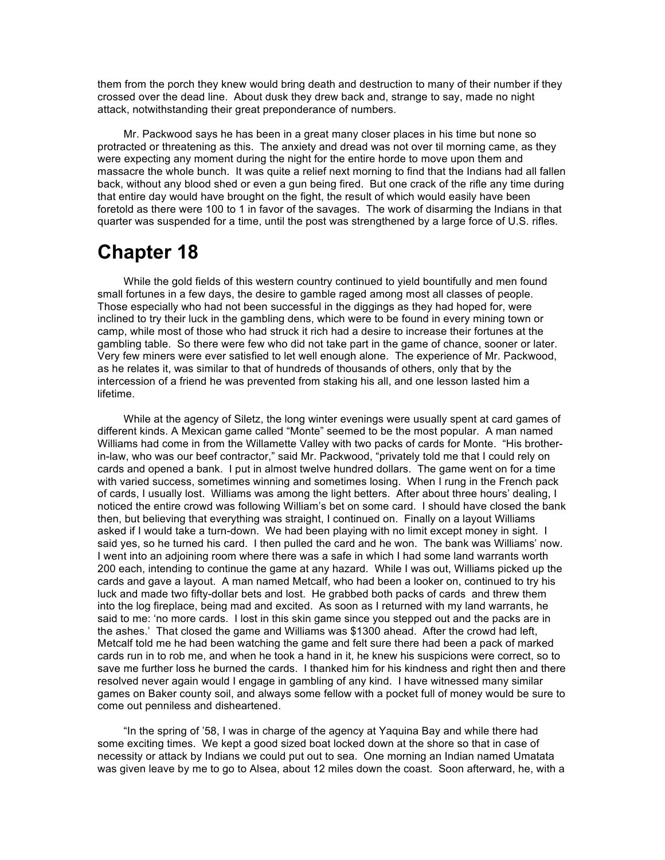them from the porch they knew would bring death and destruction to many of their number if they crossed over the dead line. About dusk they drew back and, strange to say, made no night attack, notwithstanding their great preponderance of numbers.

Mr. Packwood says he has been in a great many closer places in his time but none so protracted or threatening as this. The anxiety and dread was not over til morning came, as they were expecting any moment during the night for the entire horde to move upon them and massacre the whole bunch. It was quite a relief next morning to find that the Indians had all fallen back, without any blood shed or even a gun being fired. But one crack of the rifle any time during that entire day would have brought on the fight, the result of which would easily have been foretold as there were 100 to 1 in favor of the savages. The work of disarming the Indians in that quarter was suspended for a time, until the post was strengthened by a large force of U.S. rifles.

# **Chapter 18**

While the gold fields of this western country continued to yield bountifully and men found small fortunes in a few days, the desire to gamble raged among most all classes of people. Those especially who had not been successful in the diggings as they had hoped for, were inclined to try their luck in the gambling dens, which were to be found in every mining town or camp, while most of those who had struck it rich had a desire to increase their fortunes at the gambling table. So there were few who did not take part in the game of chance, sooner or later. Very few miners were ever satisfied to let well enough alone. The experience of Mr. Packwood, as he relates it, was similar to that of hundreds of thousands of others, only that by the intercession of a friend he was prevented from staking his all, and one lesson lasted him a lifetime.

While at the agency of Siletz, the long winter evenings were usually spent at card games of different kinds. A Mexican game called "Monte" seemed to be the most popular. A man named Williams had come in from the Willamette Valley with two packs of cards for Monte. "His brotherin-law, who was our beef contractor," said Mr. Packwood, "privately told me that I could rely on cards and opened a bank. I put in almost twelve hundred dollars. The game went on for a time with varied success, sometimes winning and sometimes losing. When I rung in the French pack of cards, I usually lost. Williams was among the light betters. After about three hours' dealing, I noticed the entire crowd was following William's bet on some card. I should have closed the bank then, but believing that everything was straight, I continued on. Finally on a layout Williams asked if I would take a turn-down. We had been playing with no limit except money in sight. I said yes, so he turned his card. I then pulled the card and he won. The bank was Williams' now. I went into an adjoining room where there was a safe in which I had some land warrants worth 200 each, intending to continue the game at any hazard. While I was out, Williams picked up the cards and gave a layout. A man named Metcalf, who had been a looker on, continued to try his luck and made two fifty-dollar bets and lost. He grabbed both packs of cards and threw them into the log fireplace, being mad and excited. As soon as I returned with my land warrants, he said to me: 'no more cards. I lost in this skin game since you stepped out and the packs are in the ashes.' That closed the game and Williams was \$1300 ahead. After the crowd had left, Metcalf told me he had been watching the game and felt sure there had been a pack of marked cards run in to rob me, and when he took a hand in it, he knew his suspicions were correct, so to save me further loss he burned the cards. I thanked him for his kindness and right then and there resolved never again would I engage in gambling of any kind. I have witnessed many similar games on Baker county soil, and always some fellow with a pocket full of money would be sure to come out penniless and disheartened.

"In the spring of '58, I was in charge of the agency at Yaquina Bay and while there had some exciting times. We kept a good sized boat locked down at the shore so that in case of necessity or attack by Indians we could put out to sea. One morning an Indian named Umatata was given leave by me to go to Alsea, about 12 miles down the coast. Soon afterward, he, with a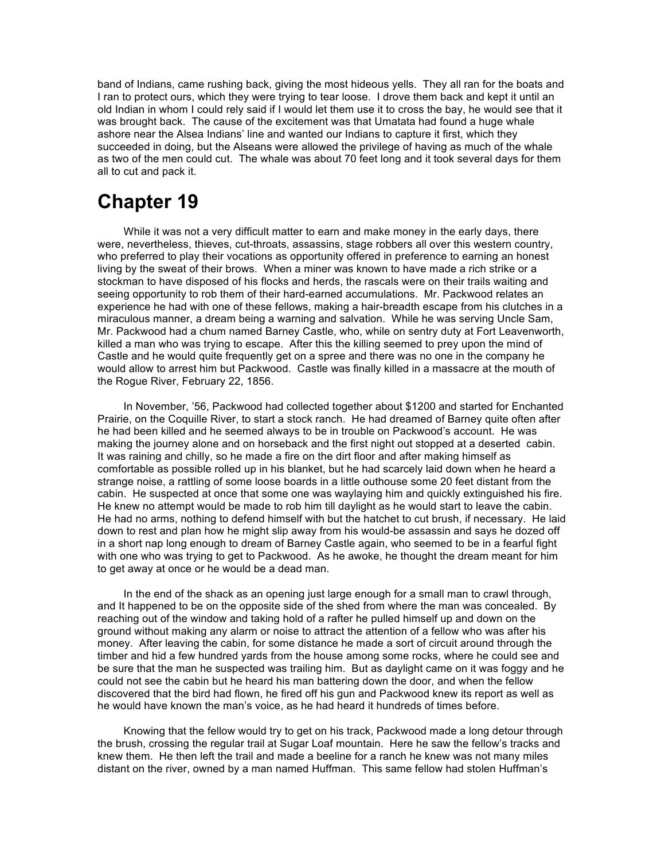band of Indians, came rushing back, giving the most hideous yells. They all ran for the boats and I ran to protect ours, which they were trying to tear loose. I drove them back and kept it until an old Indian in whom I could rely said if I would let them use it to cross the bay, he would see that it was brought back. The cause of the excitement was that Umatata had found a huge whale ashore near the Alsea Indians' line and wanted our Indians to capture it first, which they succeeded in doing, but the Alseans were allowed the privilege of having as much of the whale as two of the men could cut. The whale was about 70 feet long and it took several days for them all to cut and pack it.

# **Chapter 19**

While it was not a very difficult matter to earn and make money in the early days, there were, nevertheless, thieves, cut-throats, assassins, stage robbers all over this western country, who preferred to play their vocations as opportunity offered in preference to earning an honest living by the sweat of their brows. When a miner was known to have made a rich strike or a stockman to have disposed of his flocks and herds, the rascals were on their trails waiting and seeing opportunity to rob them of their hard-earned accumulations. Mr. Packwood relates an experience he had with one of these fellows, making a hair-breadth escape from his clutches in a miraculous manner, a dream being a warning and salvation. While he was serving Uncle Sam, Mr. Packwood had a chum named Barney Castle, who, while on sentry duty at Fort Leavenworth, killed a man who was trying to escape. After this the killing seemed to prey upon the mind of Castle and he would quite frequently get on a spree and there was no one in the company he would allow to arrest him but Packwood. Castle was finally killed in a massacre at the mouth of the Rogue River, February 22, 1856.

In November, '56, Packwood had collected together about \$1200 and started for Enchanted Prairie, on the Coquille River, to start a stock ranch. He had dreamed of Barney quite often after he had been killed and he seemed always to be in trouble on Packwood's account. He was making the journey alone and on horseback and the first night out stopped at a deserted cabin. It was raining and chilly, so he made a fire on the dirt floor and after making himself as comfortable as possible rolled up in his blanket, but he had scarcely laid down when he heard a strange noise, a rattling of some loose boards in a little outhouse some 20 feet distant from the cabin. He suspected at once that some one was waylaying him and quickly extinguished his fire. He knew no attempt would be made to rob him till daylight as he would start to leave the cabin. He had no arms, nothing to defend himself with but the hatchet to cut brush, if necessary. He laid down to rest and plan how he might slip away from his would-be assassin and says he dozed off in a short nap long enough to dream of Barney Castle again, who seemed to be in a fearful fight with one who was trying to get to Packwood. As he awoke, he thought the dream meant for him to get away at once or he would be a dead man.

In the end of the shack as an opening just large enough for a small man to crawl through, and It happened to be on the opposite side of the shed from where the man was concealed. By reaching out of the window and taking hold of a rafter he pulled himself up and down on the ground without making any alarm or noise to attract the attention of a fellow who was after his money. After leaving the cabin, for some distance he made a sort of circuit around through the timber and hid a few hundred yards from the house among some rocks, where he could see and be sure that the man he suspected was trailing him. But as daylight came on it was foggy and he could not see the cabin but he heard his man battering down the door, and when the fellow discovered that the bird had flown, he fired off his gun and Packwood knew its report as well as he would have known the man's voice, as he had heard it hundreds of times before.

Knowing that the fellow would try to get on his track, Packwood made a long detour through the brush, crossing the regular trail at Sugar Loaf mountain. Here he saw the fellow's tracks and knew them. He then left the trail and made a beeline for a ranch he knew was not many miles distant on the river, owned by a man named Huffman. This same fellow had stolen Huffman's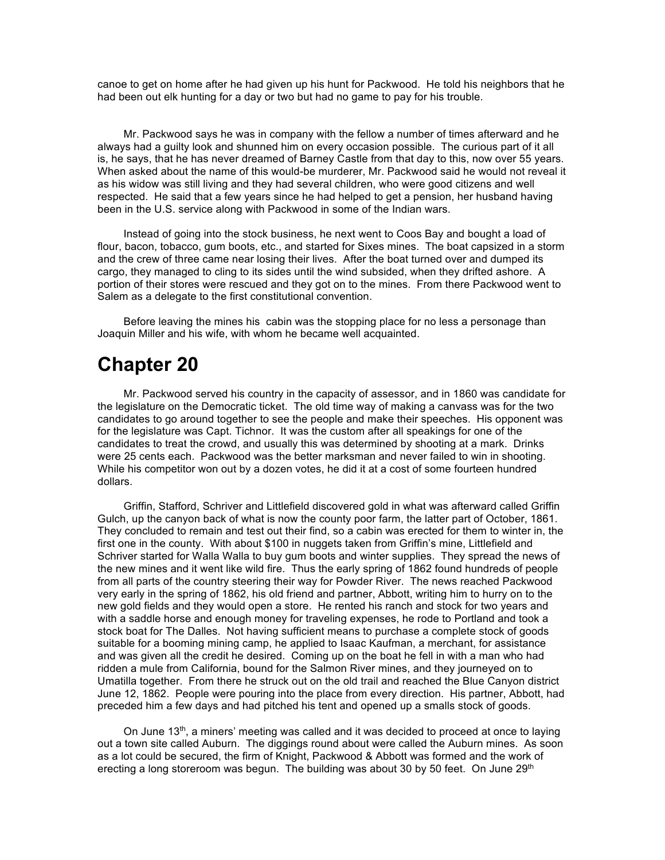canoe to get on home after he had given up his hunt for Packwood. He told his neighbors that he had been out elk hunting for a day or two but had no game to pay for his trouble.

Mr. Packwood says he was in company with the fellow a number of times afterward and he always had a guilty look and shunned him on every occasion possible. The curious part of it all is, he says, that he has never dreamed of Barney Castle from that day to this, now over 55 years. When asked about the name of this would-be murderer, Mr. Packwood said he would not reveal it as his widow was still living and they had several children, who were good citizens and well respected. He said that a few years since he had helped to get a pension, her husband having been in the U.S. service along with Packwood in some of the Indian wars.

Instead of going into the stock business, he next went to Coos Bay and bought a load of flour, bacon, tobacco, gum boots, etc., and started for Sixes mines. The boat capsized in a storm and the crew of three came near losing their lives. After the boat turned over and dumped its cargo, they managed to cling to its sides until the wind subsided, when they drifted ashore. A portion of their stores were rescued and they got on to the mines. From there Packwood went to Salem as a delegate to the first constitutional convention.

Before leaving the mines his cabin was the stopping place for no less a personage than Joaquin Miller and his wife, with whom he became well acquainted.

## **Chapter 20**

Mr. Packwood served his country in the capacity of assessor, and in 1860 was candidate for the legislature on the Democratic ticket. The old time way of making a canvass was for the two candidates to go around together to see the people and make their speeches. His opponent was for the legislature was Capt. Tichnor. It was the custom after all speakings for one of the candidates to treat the crowd, and usually this was determined by shooting at a mark. Drinks were 25 cents each. Packwood was the better marksman and never failed to win in shooting. While his competitor won out by a dozen votes, he did it at a cost of some fourteen hundred dollars.

Griffin, Stafford, Schriver and Littlefield discovered gold in what was afterward called Griffin Gulch, up the canyon back of what is now the county poor farm, the latter part of October, 1861. They concluded to remain and test out their find, so a cabin was erected for them to winter in, the first one in the county. With about \$100 in nuggets taken from Griffin's mine, Littlefield and Schriver started for Walla Walla to buy gum boots and winter supplies. They spread the news of the new mines and it went like wild fire. Thus the early spring of 1862 found hundreds of people from all parts of the country steering their way for Powder River. The news reached Packwood very early in the spring of 1862, his old friend and partner, Abbott, writing him to hurry on to the new gold fields and they would open a store. He rented his ranch and stock for two years and with a saddle horse and enough money for traveling expenses, he rode to Portland and took a stock boat for The Dalles. Not having sufficient means to purchase a complete stock of goods suitable for a booming mining camp, he applied to Isaac Kaufman, a merchant, for assistance and was given all the credit he desired. Coming up on the boat he fell in with a man who had ridden a mule from California, bound for the Salmon River mines, and they journeyed on to Umatilla together. From there he struck out on the old trail and reached the Blue Canyon district June 12, 1862. People were pouring into the place from every direction. His partner, Abbott, had preceded him a few days and had pitched his tent and opened up a smalls stock of goods.

On June  $13<sup>th</sup>$ , a miners' meeting was called and it was decided to proceed at once to laying out a town site called Auburn. The diggings round about were called the Auburn mines. As soon as a lot could be secured, the firm of Knight, Packwood & Abbott was formed and the work of erecting a long storeroom was begun. The building was about 30 by 50 feet. On June  $29<sup>th</sup>$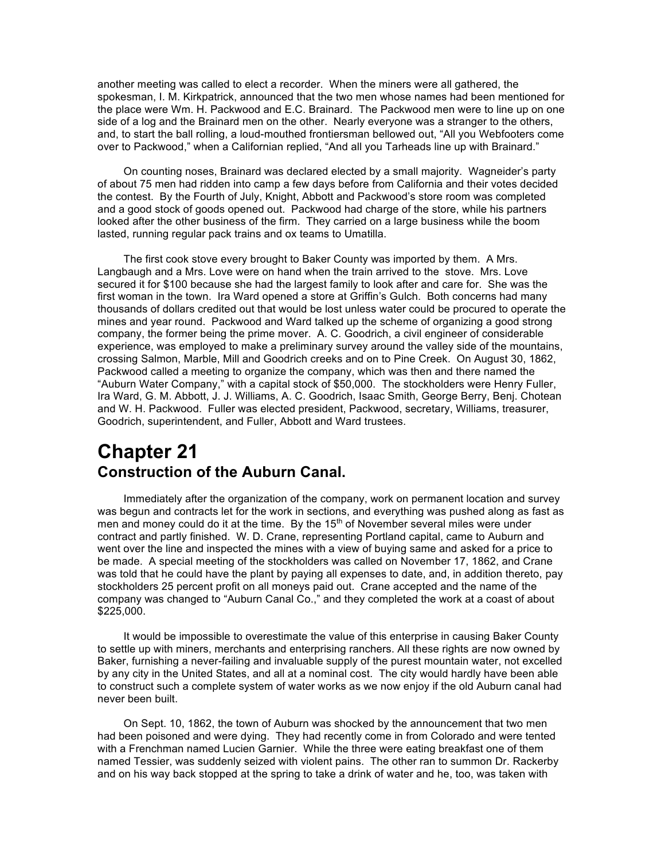another meeting was called to elect a recorder. When the miners were all gathered, the spokesman, I. M. Kirkpatrick, announced that the two men whose names had been mentioned for the place were Wm. H. Packwood and E.C. Brainard. The Packwood men were to line up on one side of a log and the Brainard men on the other. Nearly everyone was a stranger to the others, and, to start the ball rolling, a loud-mouthed frontiersman bellowed out, "All you Webfooters come over to Packwood," when a Californian replied, "And all you Tarheads line up with Brainard."

On counting noses, Brainard was declared elected by a small majority. Wagneider's party of about 75 men had ridden into camp a few days before from California and their votes decided the contest. By the Fourth of July, Knight, Abbott and Packwood's store room was completed and a good stock of goods opened out. Packwood had charge of the store, while his partners looked after the other business of the firm. They carried on a large business while the boom lasted, running regular pack trains and ox teams to Umatilla.

The first cook stove every brought to Baker County was imported by them. A Mrs. Langbaugh and a Mrs. Love were on hand when the train arrived to the stove. Mrs. Love secured it for \$100 because she had the largest family to look after and care for. She was the first woman in the town. Ira Ward opened a store at Griffin's Gulch. Both concerns had many thousands of dollars credited out that would be lost unless water could be procured to operate the mines and year round. Packwood and Ward talked up the scheme of organizing a good strong company, the former being the prime mover. A. C. Goodrich, a civil engineer of considerable experience, was employed to make a preliminary survey around the valley side of the mountains, crossing Salmon, Marble, Mill and Goodrich creeks and on to Pine Creek. On August 30, 1862, Packwood called a meeting to organize the company, which was then and there named the "Auburn Water Company," with a capital stock of \$50,000. The stockholders were Henry Fuller, Ira Ward, G. M. Abbott, J. J. Williams, A. C. Goodrich, Isaac Smith, George Berry, Benj. Chotean and W. H. Packwood. Fuller was elected president, Packwood, secretary, Williams, treasurer, Goodrich, superintendent, and Fuller, Abbott and Ward trustees.

### **Chapter 21 Construction of the Auburn Canal.**

Immediately after the organization of the company, work on permanent location and survey was begun and contracts let for the work in sections, and everything was pushed along as fast as men and money could do it at the time. By the  $15<sup>th</sup>$  of November several miles were under contract and partly finished. W. D. Crane, representing Portland capital, came to Auburn and went over the line and inspected the mines with a view of buying same and asked for a price to be made. A special meeting of the stockholders was called on November 17, 1862, and Crane was told that he could have the plant by paying all expenses to date, and, in addition thereto, pay stockholders 25 percent profit on all moneys paid out. Crane accepted and the name of the company was changed to "Auburn Canal Co.," and they completed the work at a coast of about \$225,000.

It would be impossible to overestimate the value of this enterprise in causing Baker County to settle up with miners, merchants and enterprising ranchers. All these rights are now owned by Baker, furnishing a never-failing and invaluable supply of the purest mountain water, not excelled by any city in the United States, and all at a nominal cost. The city would hardly have been able to construct such a complete system of water works as we now enjoy if the old Auburn canal had never been built.

On Sept. 10, 1862, the town of Auburn was shocked by the announcement that two men had been poisoned and were dying. They had recently come in from Colorado and were tented with a Frenchman named Lucien Garnier. While the three were eating breakfast one of them named Tessier, was suddenly seized with violent pains. The other ran to summon Dr. Rackerby and on his way back stopped at the spring to take a drink of water and he, too, was taken with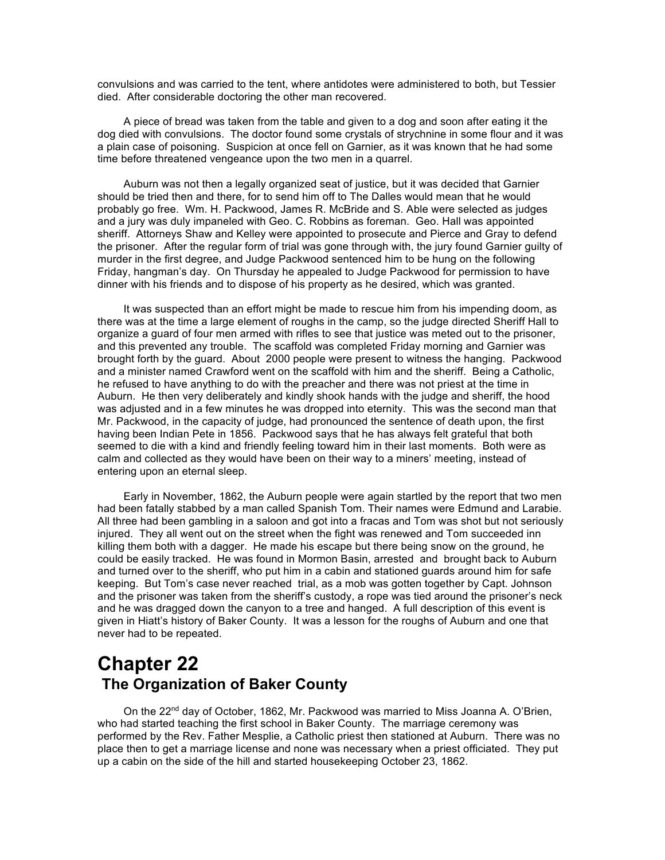convulsions and was carried to the tent, where antidotes were administered to both, but Tessier died. After considerable doctoring the other man recovered.

A piece of bread was taken from the table and given to a dog and soon after eating it the dog died with convulsions. The doctor found some crystals of strychnine in some flour and it was a plain case of poisoning. Suspicion at once fell on Garnier, as it was known that he had some time before threatened vengeance upon the two men in a quarrel.

Auburn was not then a legally organized seat of justice, but it was decided that Garnier should be tried then and there, for to send him off to The Dalles would mean that he would probably go free. Wm. H. Packwood, James R. McBride and S. Able were selected as judges and a jury was duly impaneled with Geo. C. Robbins as foreman. Geo. Hall was appointed sheriff. Attorneys Shaw and Kelley were appointed to prosecute and Pierce and Gray to defend the prisoner. After the regular form of trial was gone through with, the jury found Garnier guilty of murder in the first degree, and Judge Packwood sentenced him to be hung on the following Friday, hangman's day. On Thursday he appealed to Judge Packwood for permission to have dinner with his friends and to dispose of his property as he desired, which was granted.

It was suspected than an effort might be made to rescue him from his impending doom, as there was at the time a large element of roughs in the camp, so the judge directed Sheriff Hall to organize a guard of four men armed with rifles to see that justice was meted out to the prisoner, and this prevented any trouble. The scaffold was completed Friday morning and Garnier was brought forth by the guard. About 2000 people were present to witness the hanging. Packwood and a minister named Crawford went on the scaffold with him and the sheriff. Being a Catholic, he refused to have anything to do with the preacher and there was not priest at the time in Auburn. He then very deliberately and kindly shook hands with the judge and sheriff, the hood was adjusted and in a few minutes he was dropped into eternity. This was the second man that Mr. Packwood, in the capacity of judge, had pronounced the sentence of death upon, the first having been Indian Pete in 1856. Packwood says that he has always felt grateful that both seemed to die with a kind and friendly feeling toward him in their last moments. Both were as calm and collected as they would have been on their way to a miners' meeting, instead of entering upon an eternal sleep.

Early in November, 1862, the Auburn people were again startled by the report that two men had been fatally stabbed by a man called Spanish Tom. Their names were Edmund and Larabie. All three had been gambling in a saloon and got into a fracas and Tom was shot but not seriously injured. They all went out on the street when the fight was renewed and Tom succeeded inn killing them both with a dagger. He made his escape but there being snow on the ground, he could be easily tracked. He was found in Mormon Basin, arrested and brought back to Auburn and turned over to the sheriff, who put him in a cabin and stationed guards around him for safe keeping. But Tom's case never reached trial, as a mob was gotten together by Capt. Johnson and the prisoner was taken from the sheriff's custody, a rope was tied around the prisoner's neck and he was dragged down the canyon to a tree and hanged. A full description of this event is given in Hiatt's history of Baker County. It was a lesson for the roughs of Auburn and one that never had to be repeated.

### **Chapter 22 The Organization of Baker County**

On the  $22^{nd}$  day of October, 1862, Mr. Packwood was married to Miss Joanna A. O'Brien, who had started teaching the first school in Baker County. The marriage ceremony was performed by the Rev. Father Mesplie, a Catholic priest then stationed at Auburn. There was no place then to get a marriage license and none was necessary when a priest officiated. They put up a cabin on the side of the hill and started housekeeping October 23, 1862.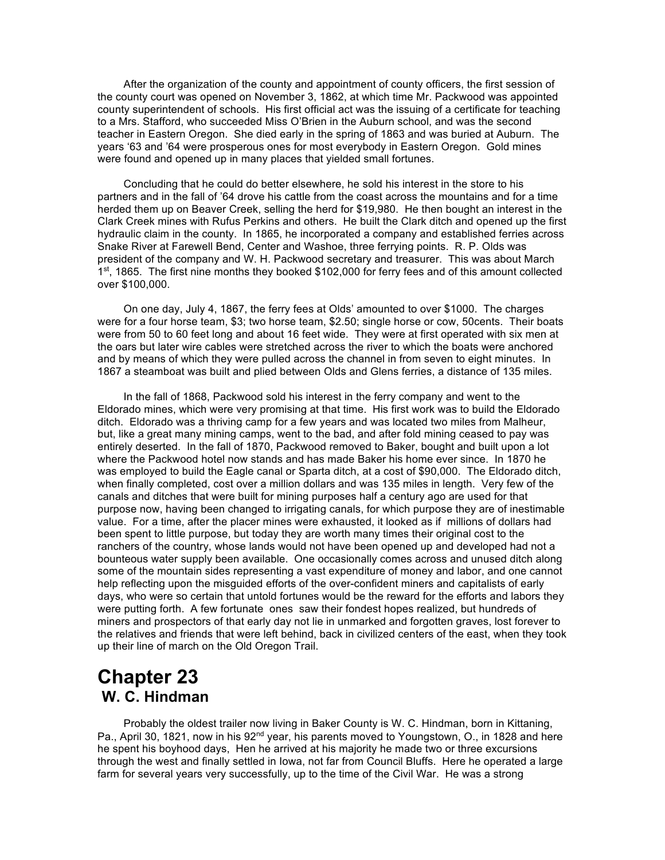After the organization of the county and appointment of county officers, the first session of the county court was opened on November 3, 1862, at which time Mr. Packwood was appointed county superintendent of schools. His first official act was the issuing of a certificate for teaching to a Mrs. Stafford, who succeeded Miss O'Brien in the Auburn school, and was the second teacher in Eastern Oregon. She died early in the spring of 1863 and was buried at Auburn. The years '63 and '64 were prosperous ones for most everybody in Eastern Oregon. Gold mines were found and opened up in many places that yielded small fortunes.

Concluding that he could do better elsewhere, he sold his interest in the store to his partners and in the fall of '64 drove his cattle from the coast across the mountains and for a time herded them up on Beaver Creek, selling the herd for \$19,980. He then bought an interest in the Clark Creek mines with Rufus Perkins and others. He built the Clark ditch and opened up the first hydraulic claim in the county. In 1865, he incorporated a company and established ferries across Snake River at Farewell Bend, Center and Washoe, three ferrying points. R. P. Olds was president of the company and W. H. Packwood secretary and treasurer. This was about March 1<sup>st</sup>, 1865. The first nine months they booked \$102,000 for ferry fees and of this amount collected over \$100,000.

On one day, July 4, 1867, the ferry fees at Olds' amounted to over \$1000. The charges were for a four horse team, \$3; two horse team, \$2.50; single horse or cow, 50cents. Their boats were from 50 to 60 feet long and about 16 feet wide. They were at first operated with six men at the oars but later wire cables were stretched across the river to which the boats were anchored and by means of which they were pulled across the channel in from seven to eight minutes. In 1867 a steamboat was built and plied between Olds and Glens ferries, a distance of 135 miles.

In the fall of 1868, Packwood sold his interest in the ferry company and went to the Eldorado mines, which were very promising at that time. His first work was to build the Eldorado ditch. Eldorado was a thriving camp for a few years and was located two miles from Malheur, but, like a great many mining camps, went to the bad, and after fold mining ceased to pay was entirely deserted. In the fall of 1870, Packwood removed to Baker, bought and built upon a lot where the Packwood hotel now stands and has made Baker his home ever since. In 1870 he was employed to build the Eagle canal or Sparta ditch, at a cost of \$90,000. The Eldorado ditch, when finally completed, cost over a million dollars and was 135 miles in length. Very few of the canals and ditches that were built for mining purposes half a century ago are used for that purpose now, having been changed to irrigating canals, for which purpose they are of inestimable value. For a time, after the placer mines were exhausted, it looked as if millions of dollars had been spent to little purpose, but today they are worth many times their original cost to the ranchers of the country, whose lands would not have been opened up and developed had not a bounteous water supply been available. One occasionally comes across and unused ditch along some of the mountain sides representing a vast expenditure of money and labor, and one cannot help reflecting upon the misguided efforts of the over-confident miners and capitalists of early days, who were so certain that untold fortunes would be the reward for the efforts and labors they were putting forth. A few fortunate ones saw their fondest hopes realized, but hundreds of miners and prospectors of that early day not lie in unmarked and forgotten graves, lost forever to the relatives and friends that were left behind, back in civilized centers of the east, when they took up their line of march on the Old Oregon Trail.

## **Chapter 23 W. C. Hindman**

Probably the oldest trailer now living in Baker County is W. C. Hindman, born in Kittaning, Pa., April 30, 1821, now in his 92<sup>nd</sup> year, his parents moved to Youngstown, O., in 1828 and here he spent his boyhood days, Hen he arrived at his majority he made two or three excursions through the west and finally settled in Iowa, not far from Council Bluffs. Here he operated a large farm for several years very successfully, up to the time of the Civil War. He was a strong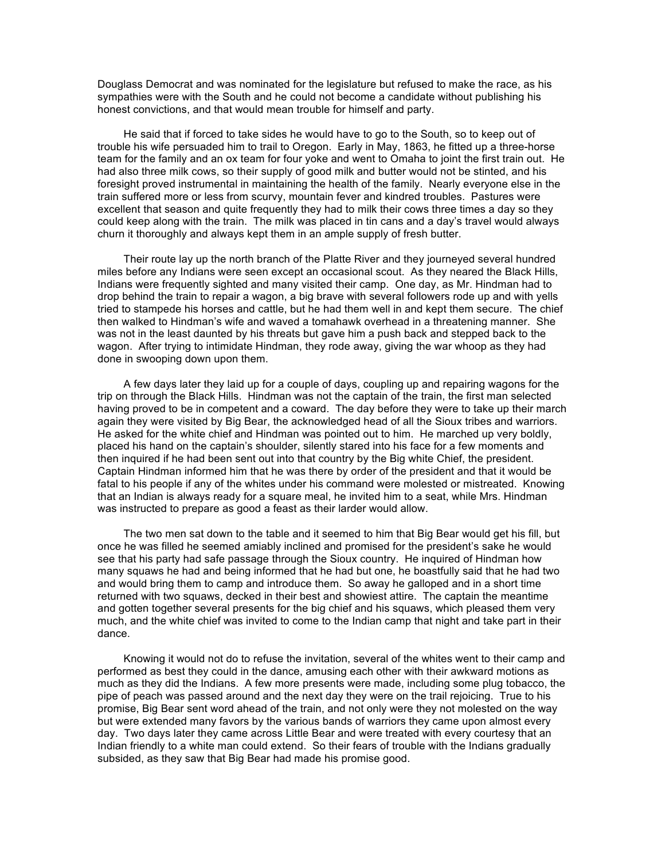Douglass Democrat and was nominated for the legislature but refused to make the race, as his sympathies were with the South and he could not become a candidate without publishing his honest convictions, and that would mean trouble for himself and party.

He said that if forced to take sides he would have to go to the South, so to keep out of trouble his wife persuaded him to trail to Oregon. Early in May, 1863, he fitted up a three-horse team for the family and an ox team for four yoke and went to Omaha to joint the first train out. He had also three milk cows, so their supply of good milk and butter would not be stinted, and his foresight proved instrumental in maintaining the health of the family. Nearly everyone else in the train suffered more or less from scurvy, mountain fever and kindred troubles. Pastures were excellent that season and quite frequently they had to milk their cows three times a day so they could keep along with the train. The milk was placed in tin cans and a day's travel would always churn it thoroughly and always kept them in an ample supply of fresh butter.

Their route lay up the north branch of the Platte River and they journeyed several hundred miles before any Indians were seen except an occasional scout. As they neared the Black Hills, Indians were frequently sighted and many visited their camp. One day, as Mr. Hindman had to drop behind the train to repair a wagon, a big brave with several followers rode up and with yells tried to stampede his horses and cattle, but he had them well in and kept them secure. The chief then walked to Hindman's wife and waved a tomahawk overhead in a threatening manner. She was not in the least daunted by his threats but gave him a push back and stepped back to the wagon. After trying to intimidate Hindman, they rode away, giving the war whoop as they had done in swooping down upon them.

A few days later they laid up for a couple of days, coupling up and repairing wagons for the trip on through the Black Hills. Hindman was not the captain of the train, the first man selected having proved to be in competent and a coward. The day before they were to take up their march again they were visited by Big Bear, the acknowledged head of all the Sioux tribes and warriors. He asked for the white chief and Hindman was pointed out to him. He marched up very boldly, placed his hand on the captain's shoulder, silently stared into his face for a few moments and then inquired if he had been sent out into that country by the Big white Chief, the president. Captain Hindman informed him that he was there by order of the president and that it would be fatal to his people if any of the whites under his command were molested or mistreated. Knowing that an Indian is always ready for a square meal, he invited him to a seat, while Mrs. Hindman was instructed to prepare as good a feast as their larder would allow.

The two men sat down to the table and it seemed to him that Big Bear would get his fill, but once he was filled he seemed amiably inclined and promised for the president's sake he would see that his party had safe passage through the Sioux country. He inquired of Hindman how many squaws he had and being informed that he had but one, he boastfully said that he had two and would bring them to camp and introduce them. So away he galloped and in a short time returned with two squaws, decked in their best and showiest attire. The captain the meantime and gotten together several presents for the big chief and his squaws, which pleased them very much, and the white chief was invited to come to the Indian camp that night and take part in their dance.

Knowing it would not do to refuse the invitation, several of the whites went to their camp and performed as best they could in the dance, amusing each other with their awkward motions as much as they did the Indians. A few more presents were made, including some plug tobacco, the pipe of peach was passed around and the next day they were on the trail rejoicing. True to his promise, Big Bear sent word ahead of the train, and not only were they not molested on the way but were extended many favors by the various bands of warriors they came upon almost every day. Two days later they came across Little Bear and were treated with every courtesy that an Indian friendly to a white man could extend. So their fears of trouble with the Indians gradually subsided, as they saw that Big Bear had made his promise good.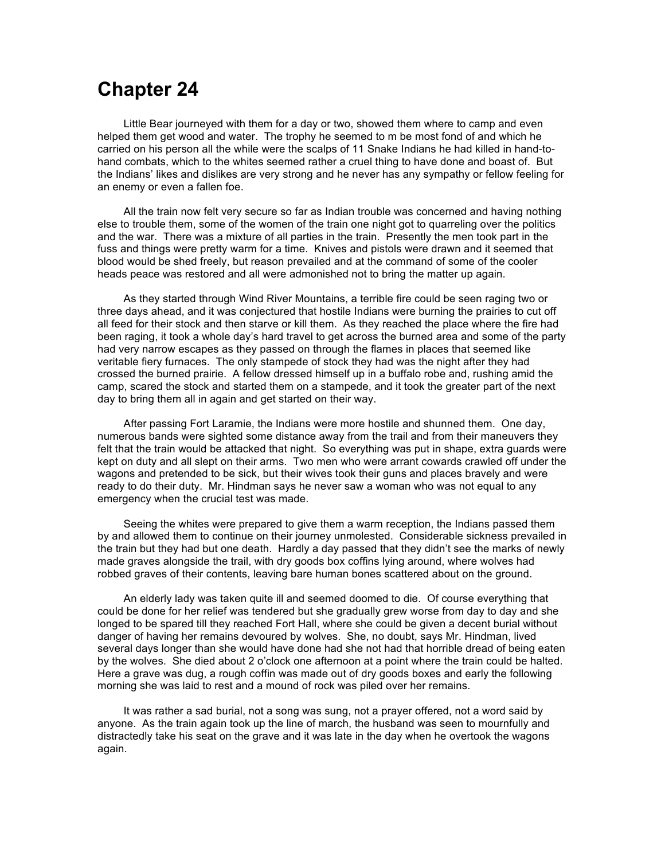# **Chapter 24**

Little Bear journeyed with them for a day or two, showed them where to camp and even helped them get wood and water. The trophy he seemed to m be most fond of and which he carried on his person all the while were the scalps of 11 Snake Indians he had killed in hand-tohand combats, which to the whites seemed rather a cruel thing to have done and boast of. But the Indians' likes and dislikes are very strong and he never has any sympathy or fellow feeling for an enemy or even a fallen foe.

All the train now felt very secure so far as Indian trouble was concerned and having nothing else to trouble them, some of the women of the train one night got to quarreling over the politics and the war. There was a mixture of all parties in the train. Presently the men took part in the fuss and things were pretty warm for a time. Knives and pistols were drawn and it seemed that blood would be shed freely, but reason prevailed and at the command of some of the cooler heads peace was restored and all were admonished not to bring the matter up again.

As they started through Wind River Mountains, a terrible fire could be seen raging two or three days ahead, and it was conjectured that hostile Indians were burning the prairies to cut off all feed for their stock and then starve or kill them. As they reached the place where the fire had been raging, it took a whole day's hard travel to get across the burned area and some of the party had very narrow escapes as they passed on through the flames in places that seemed like veritable fiery furnaces. The only stampede of stock they had was the night after they had crossed the burned prairie. A fellow dressed himself up in a buffalo robe and, rushing amid the camp, scared the stock and started them on a stampede, and it took the greater part of the next day to bring them all in again and get started on their way.

After passing Fort Laramie, the Indians were more hostile and shunned them. One day, numerous bands were sighted some distance away from the trail and from their maneuvers they felt that the train would be attacked that night. So everything was put in shape, extra guards were kept on duty and all slept on their arms. Two men who were arrant cowards crawled off under the wagons and pretended to be sick, but their wives took their guns and places bravely and were ready to do their duty. Mr. Hindman says he never saw a woman who was not equal to any emergency when the crucial test was made.

Seeing the whites were prepared to give them a warm reception, the Indians passed them by and allowed them to continue on their journey unmolested. Considerable sickness prevailed in the train but they had but one death. Hardly a day passed that they didn't see the marks of newly made graves alongside the trail, with dry goods box coffins lying around, where wolves had robbed graves of their contents, leaving bare human bones scattered about on the ground.

An elderly lady was taken quite ill and seemed doomed to die. Of course everything that could be done for her relief was tendered but she gradually grew worse from day to day and she longed to be spared till they reached Fort Hall, where she could be given a decent burial without danger of having her remains devoured by wolves. She, no doubt, says Mr. Hindman, lived several days longer than she would have done had she not had that horrible dread of being eaten by the wolves. She died about 2 o'clock one afternoon at a point where the train could be halted. Here a grave was dug, a rough coffin was made out of dry goods boxes and early the following morning she was laid to rest and a mound of rock was piled over her remains.

It was rather a sad burial, not a song was sung, not a prayer offered, not a word said by anyone. As the train again took up the line of march, the husband was seen to mournfully and distractedly take his seat on the grave and it was late in the day when he overtook the wagons again.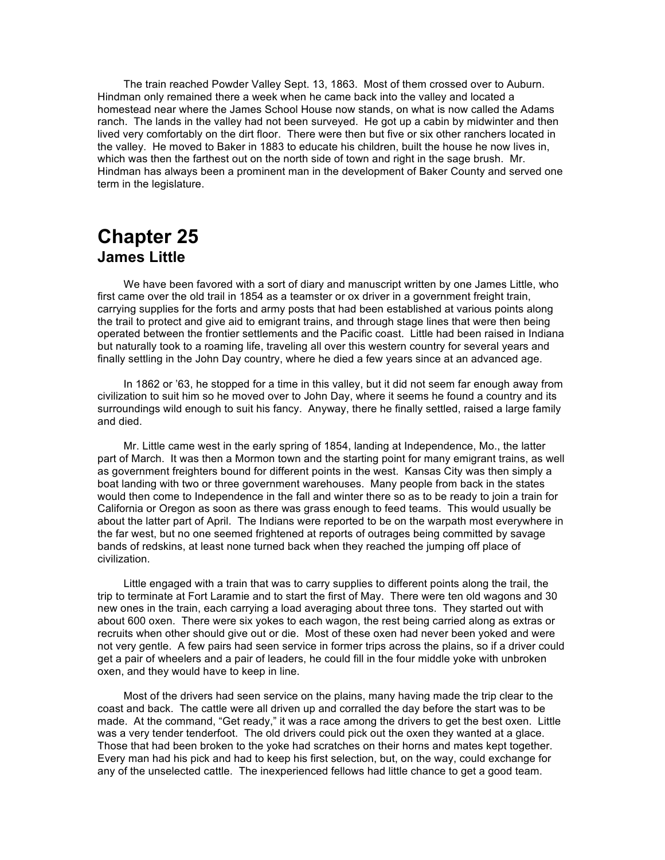The train reached Powder Valley Sept. 13, 1863. Most of them crossed over to Auburn. Hindman only remained there a week when he came back into the valley and located a homestead near where the James School House now stands, on what is now called the Adams ranch. The lands in the valley had not been surveyed. He got up a cabin by midwinter and then lived very comfortably on the dirt floor. There were then but five or six other ranchers located in the valley. He moved to Baker in 1883 to educate his children, built the house he now lives in, which was then the farthest out on the north side of town and right in the sage brush. Mr. Hindman has always been a prominent man in the development of Baker County and served one term in the legislature.

## **Chapter 25 James Little**

We have been favored with a sort of diary and manuscript written by one James Little, who first came over the old trail in 1854 as a teamster or ox driver in a government freight train, carrying supplies for the forts and army posts that had been established at various points along the trail to protect and give aid to emigrant trains, and through stage lines that were then being operated between the frontier settlements and the Pacific coast. Little had been raised in Indiana but naturally took to a roaming life, traveling all over this western country for several years and finally settling in the John Day country, where he died a few years since at an advanced age.

In 1862 or '63, he stopped for a time in this valley, but it did not seem far enough away from civilization to suit him so he moved over to John Day, where it seems he found a country and its surroundings wild enough to suit his fancy. Anyway, there he finally settled, raised a large family and died.

Mr. Little came west in the early spring of 1854, landing at Independence, Mo., the latter part of March. It was then a Mormon town and the starting point for many emigrant trains, as well as government freighters bound for different points in the west. Kansas City was then simply a boat landing with two or three government warehouses. Many people from back in the states would then come to Independence in the fall and winter there so as to be ready to join a train for California or Oregon as soon as there was grass enough to feed teams. This would usually be about the latter part of April. The Indians were reported to be on the warpath most everywhere in the far west, but no one seemed frightened at reports of outrages being committed by savage bands of redskins, at least none turned back when they reached the jumping off place of civilization.

Little engaged with a train that was to carry supplies to different points along the trail, the trip to terminate at Fort Laramie and to start the first of May. There were ten old wagons and 30 new ones in the train, each carrying a load averaging about three tons. They started out with about 600 oxen. There were six yokes to each wagon, the rest being carried along as extras or recruits when other should give out or die. Most of these oxen had never been yoked and were not very gentle. A few pairs had seen service in former trips across the plains, so if a driver could get a pair of wheelers and a pair of leaders, he could fill in the four middle yoke with unbroken oxen, and they would have to keep in line.

Most of the drivers had seen service on the plains, many having made the trip clear to the coast and back. The cattle were all driven up and corralled the day before the start was to be made. At the command, "Get ready," it was a race among the drivers to get the best oxen. Little was a very tender tenderfoot. The old drivers could pick out the oxen they wanted at a glace. Those that had been broken to the yoke had scratches on their horns and mates kept together. Every man had his pick and had to keep his first selection, but, on the way, could exchange for any of the unselected cattle. The inexperienced fellows had little chance to get a good team.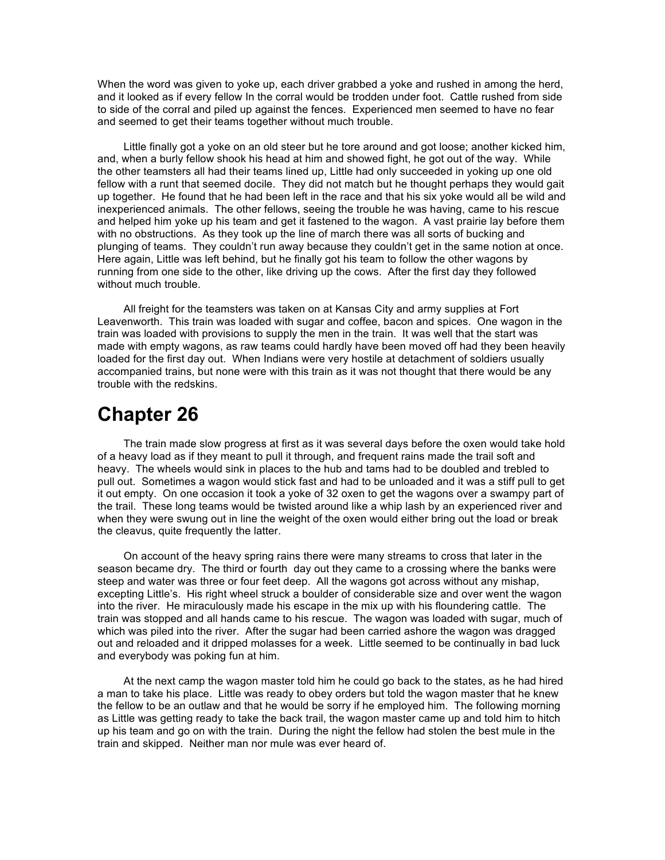When the word was given to yoke up, each driver grabbed a yoke and rushed in among the herd, and it looked as if every fellow In the corral would be trodden under foot. Cattle rushed from side to side of the corral and piled up against the fences. Experienced men seemed to have no fear and seemed to get their teams together without much trouble.

Little finally got a yoke on an old steer but he tore around and got loose; another kicked him, and, when a burly fellow shook his head at him and showed fight, he got out of the way. While the other teamsters all had their teams lined up, Little had only succeeded in yoking up one old fellow with a runt that seemed docile. They did not match but he thought perhaps they would gait up together. He found that he had been left in the race and that his six yoke would all be wild and inexperienced animals. The other fellows, seeing the trouble he was having, came to his rescue and helped him yoke up his team and get it fastened to the wagon. A vast prairie lay before them with no obstructions. As they took up the line of march there was all sorts of bucking and plunging of teams. They couldn't run away because they couldn't get in the same notion at once. Here again, Little was left behind, but he finally got his team to follow the other wagons by running from one side to the other, like driving up the cows. After the first day they followed without much trouble.

All freight for the teamsters was taken on at Kansas City and army supplies at Fort Leavenworth. This train was loaded with sugar and coffee, bacon and spices. One wagon in the train was loaded with provisions to supply the men in the train. It was well that the start was made with empty wagons, as raw teams could hardly have been moved off had they been heavily loaded for the first day out. When Indians were very hostile at detachment of soldiers usually accompanied trains, but none were with this train as it was not thought that there would be any trouble with the redskins.

## **Chapter 26**

The train made slow progress at first as it was several days before the oxen would take hold of a heavy load as if they meant to pull it through, and frequent rains made the trail soft and heavy. The wheels would sink in places to the hub and tams had to be doubled and trebled to pull out. Sometimes a wagon would stick fast and had to be unloaded and it was a stiff pull to get it out empty. On one occasion it took a yoke of 32 oxen to get the wagons over a swampy part of the trail. These long teams would be twisted around like a whip lash by an experienced river and when they were swung out in line the weight of the oxen would either bring out the load or break the cleavus, quite frequently the latter.

On account of the heavy spring rains there were many streams to cross that later in the season became dry. The third or fourth day out they came to a crossing where the banks were steep and water was three or four feet deep. All the wagons got across without any mishap, excepting Little's. His right wheel struck a boulder of considerable size and over went the wagon into the river. He miraculously made his escape in the mix up with his floundering cattle. The train was stopped and all hands came to his rescue. The wagon was loaded with sugar, much of which was piled into the river. After the sugar had been carried ashore the wagon was dragged out and reloaded and it dripped molasses for a week. Little seemed to be continually in bad luck and everybody was poking fun at him.

At the next camp the wagon master told him he could go back to the states, as he had hired a man to take his place. Little was ready to obey orders but told the wagon master that he knew the fellow to be an outlaw and that he would be sorry if he employed him. The following morning as Little was getting ready to take the back trail, the wagon master came up and told him to hitch up his team and go on with the train. During the night the fellow had stolen the best mule in the train and skipped. Neither man nor mule was ever heard of.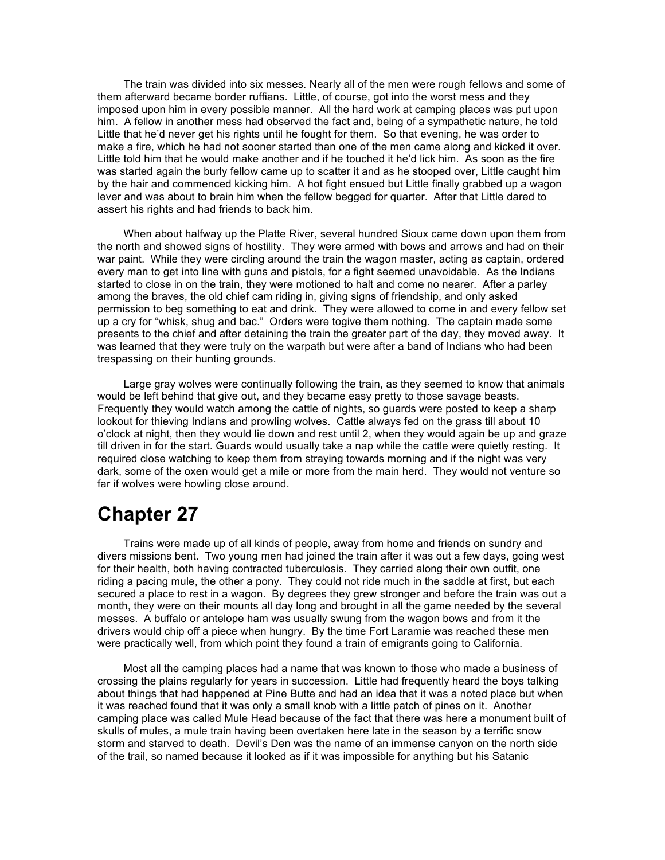The train was divided into six messes. Nearly all of the men were rough fellows and some of them afterward became border ruffians. Little, of course, got into the worst mess and they imposed upon him in every possible manner. All the hard work at camping places was put upon him. A fellow in another mess had observed the fact and, being of a sympathetic nature, he told Little that he'd never get his rights until he fought for them. So that evening, he was order to make a fire, which he had not sooner started than one of the men came along and kicked it over. Little told him that he would make another and if he touched it he'd lick him. As soon as the fire was started again the burly fellow came up to scatter it and as he stooped over, Little caught him by the hair and commenced kicking him. A hot fight ensued but Little finally grabbed up a wagon lever and was about to brain him when the fellow begged for quarter. After that Little dared to assert his rights and had friends to back him.

When about halfway up the Platte River, several hundred Sioux came down upon them from the north and showed signs of hostility. They were armed with bows and arrows and had on their war paint. While they were circling around the train the wagon master, acting as captain, ordered every man to get into line with guns and pistols, for a fight seemed unavoidable. As the Indians started to close in on the train, they were motioned to halt and come no nearer. After a parley among the braves, the old chief cam riding in, giving signs of friendship, and only asked permission to beg something to eat and drink. They were allowed to come in and every fellow set up a cry for "whisk, shug and bac." Orders were togive them nothing. The captain made some presents to the chief and after detaining the train the greater part of the day, they moved away. It was learned that they were truly on the warpath but were after a band of Indians who had been trespassing on their hunting grounds.

Large gray wolves were continually following the train, as they seemed to know that animals would be left behind that give out, and they became easy pretty to those savage beasts. Frequently they would watch among the cattle of nights, so guards were posted to keep a sharp lookout for thieving Indians and prowling wolves. Cattle always fed on the grass till about 10 o'clock at night, then they would lie down and rest until 2, when they would again be up and graze till driven in for the start. Guards would usually take a nap while the cattle were quietly resting. It required close watching to keep them from straying towards morning and if the night was very dark, some of the oxen would get a mile or more from the main herd. They would not venture so far if wolves were howling close around.

# **Chapter 27**

Trains were made up of all kinds of people, away from home and friends on sundry and divers missions bent. Two young men had joined the train after it was out a few days, going west for their health, both having contracted tuberculosis. They carried along their own outfit, one riding a pacing mule, the other a pony. They could not ride much in the saddle at first, but each secured a place to rest in a wagon. By degrees they grew stronger and before the train was out a month, they were on their mounts all day long and brought in all the game needed by the several messes. A buffalo or antelope ham was usually swung from the wagon bows and from it the drivers would chip off a piece when hungry. By the time Fort Laramie was reached these men were practically well, from which point they found a train of emigrants going to California.

Most all the camping places had a name that was known to those who made a business of crossing the plains regularly for years in succession. Little had frequently heard the boys talking about things that had happened at Pine Butte and had an idea that it was a noted place but when it was reached found that it was only a small knob with a little patch of pines on it. Another camping place was called Mule Head because of the fact that there was here a monument built of skulls of mules, a mule train having been overtaken here late in the season by a terrific snow storm and starved to death. Devil's Den was the name of an immense canyon on the north side of the trail, so named because it looked as if it was impossible for anything but his Satanic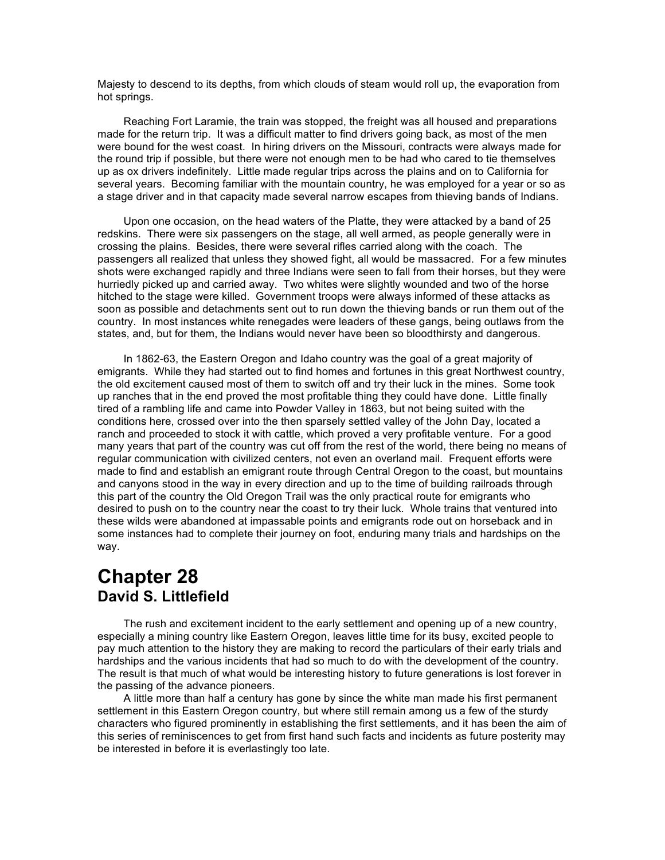Majesty to descend to its depths, from which clouds of steam would roll up, the evaporation from hot springs.

Reaching Fort Laramie, the train was stopped, the freight was all housed and preparations made for the return trip. It was a difficult matter to find drivers going back, as most of the men were bound for the west coast. In hiring drivers on the Missouri, contracts were always made for the round trip if possible, but there were not enough men to be had who cared to tie themselves up as ox drivers indefinitely. Little made regular trips across the plains and on to California for several years. Becoming familiar with the mountain country, he was employed for a year or so as a stage driver and in that capacity made several narrow escapes from thieving bands of Indians.

Upon one occasion, on the head waters of the Platte, they were attacked by a band of 25 redskins. There were six passengers on the stage, all well armed, as people generally were in crossing the plains. Besides, there were several rifles carried along with the coach. The passengers all realized that unless they showed fight, all would be massacred. For a few minutes shots were exchanged rapidly and three Indians were seen to fall from their horses, but they were hurriedly picked up and carried away. Two whites were slightly wounded and two of the horse hitched to the stage were killed. Government troops were always informed of these attacks as soon as possible and detachments sent out to run down the thieving bands or run them out of the country. In most instances white renegades were leaders of these gangs, being outlaws from the states, and, but for them, the Indians would never have been so bloodthirsty and dangerous.

In 1862-63, the Eastern Oregon and Idaho country was the goal of a great majority of emigrants. While they had started out to find homes and fortunes in this great Northwest country, the old excitement caused most of them to switch off and try their luck in the mines. Some took up ranches that in the end proved the most profitable thing they could have done. Little finally tired of a rambling life and came into Powder Valley in 1863, but not being suited with the conditions here, crossed over into the then sparsely settled valley of the John Day, located a ranch and proceeded to stock it with cattle, which proved a very profitable venture. For a good many years that part of the country was cut off from the rest of the world, there being no means of regular communication with civilized centers, not even an overland mail. Frequent efforts were made to find and establish an emigrant route through Central Oregon to the coast, but mountains and canyons stood in the way in every direction and up to the time of building railroads through this part of the country the Old Oregon Trail was the only practical route for emigrants who desired to push on to the country near the coast to try their luck. Whole trains that ventured into these wilds were abandoned at impassable points and emigrants rode out on horseback and in some instances had to complete their journey on foot, enduring many trials and hardships on the way.

### **Chapter 28 David S. Littlefield**

The rush and excitement incident to the early settlement and opening up of a new country, especially a mining country like Eastern Oregon, leaves little time for its busy, excited people to pay much attention to the history they are making to record the particulars of their early trials and hardships and the various incidents that had so much to do with the development of the country. The result is that much of what would be interesting history to future generations is lost forever in the passing of the advance pioneers.

A little more than half a century has gone by since the white man made his first permanent settlement in this Eastern Oregon country, but where still remain among us a few of the sturdy characters who figured prominently in establishing the first settlements, and it has been the aim of this series of reminiscences to get from first hand such facts and incidents as future posterity may be interested in before it is everlastingly too late.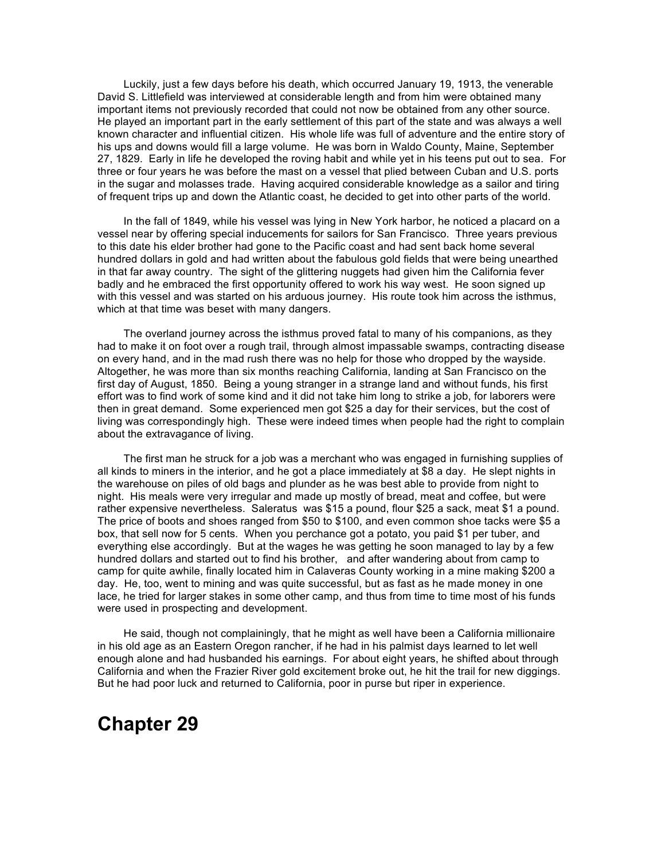Luckily, just a few days before his death, which occurred January 19, 1913, the venerable David S. Littlefield was interviewed at considerable length and from him were obtained many important items not previously recorded that could not now be obtained from any other source. He played an important part in the early settlement of this part of the state and was always a well known character and influential citizen. His whole life was full of adventure and the entire story of his ups and downs would fill a large volume. He was born in Waldo County, Maine, September 27, 1829. Early in life he developed the roving habit and while yet in his teens put out to sea. For three or four years he was before the mast on a vessel that plied between Cuban and U.S. ports in the sugar and molasses trade. Having acquired considerable knowledge as a sailor and tiring of frequent trips up and down the Atlantic coast, he decided to get into other parts of the world.

In the fall of 1849, while his vessel was lying in New York harbor, he noticed a placard on a vessel near by offering special inducements for sailors for San Francisco. Three years previous to this date his elder brother had gone to the Pacific coast and had sent back home several hundred dollars in gold and had written about the fabulous gold fields that were being unearthed in that far away country. The sight of the glittering nuggets had given him the California fever badly and he embraced the first opportunity offered to work his way west. He soon signed up with this vessel and was started on his arduous journey. His route took him across the isthmus, which at that time was beset with many dangers.

The overland journey across the isthmus proved fatal to many of his companions, as they had to make it on foot over a rough trail, through almost impassable swamps, contracting disease on every hand, and in the mad rush there was no help for those who dropped by the wayside. Altogether, he was more than six months reaching California, landing at San Francisco on the first day of August, 1850. Being a young stranger in a strange land and without funds, his first effort was to find work of some kind and it did not take him long to strike a job, for laborers were then in great demand. Some experienced men got \$25 a day for their services, but the cost of living was correspondingly high. These were indeed times when people had the right to complain about the extravagance of living.

The first man he struck for a job was a merchant who was engaged in furnishing supplies of all kinds to miners in the interior, and he got a place immediately at \$8 a day. He slept nights in the warehouse on piles of old bags and plunder as he was best able to provide from night to night. His meals were very irregular and made up mostly of bread, meat and coffee, but were rather expensive nevertheless. Saleratus was \$15 a pound, flour \$25 a sack, meat \$1 a pound. The price of boots and shoes ranged from \$50 to \$100, and even common shoe tacks were \$5 a box, that sell now for 5 cents. When you perchance got a potato, you paid \$1 per tuber, and everything else accordingly. But at the wages he was getting he soon managed to lay by a few hundred dollars and started out to find his brother, and after wandering about from camp to camp for quite awhile, finally located him in Calaveras County working in a mine making \$200 a day. He, too, went to mining and was quite successful, but as fast as he made money in one lace, he tried for larger stakes in some other camp, and thus from time to time most of his funds were used in prospecting and development.

He said, though not complainingly, that he might as well have been a California millionaire in his old age as an Eastern Oregon rancher, if he had in his palmist days learned to let well enough alone and had husbanded his earnings. For about eight years, he shifted about through California and when the Frazier River gold excitement broke out, he hit the trail for new diggings. But he had poor luck and returned to California, poor in purse but riper in experience.

### **Chapter 29**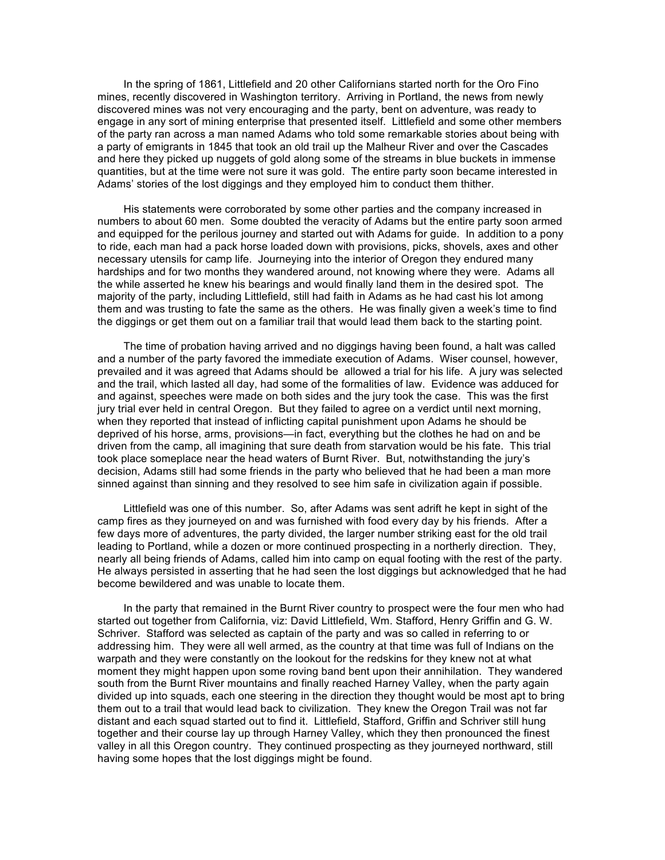In the spring of 1861, Littlefield and 20 other Californians started north for the Oro Fino mines, recently discovered in Washington territory. Arriving in Portland, the news from newly discovered mines was not very encouraging and the party, bent on adventure, was ready to engage in any sort of mining enterprise that presented itself. Littlefield and some other members of the party ran across a man named Adams who told some remarkable stories about being with a party of emigrants in 1845 that took an old trail up the Malheur River and over the Cascades and here they picked up nuggets of gold along some of the streams in blue buckets in immense quantities, but at the time were not sure it was gold. The entire party soon became interested in Adams' stories of the lost diggings and they employed him to conduct them thither.

His statements were corroborated by some other parties and the company increased in numbers to about 60 men. Some doubted the veracity of Adams but the entire party soon armed and equipped for the perilous journey and started out with Adams for guide. In addition to a pony to ride, each man had a pack horse loaded down with provisions, picks, shovels, axes and other necessary utensils for camp life. Journeying into the interior of Oregon they endured many hardships and for two months they wandered around, not knowing where they were. Adams all the while asserted he knew his bearings and would finally land them in the desired spot. The majority of the party, including Littlefield, still had faith in Adams as he had cast his lot among them and was trusting to fate the same as the others. He was finally given a week's time to find the diggings or get them out on a familiar trail that would lead them back to the starting point.

The time of probation having arrived and no diggings having been found, a halt was called and a number of the party favored the immediate execution of Adams. Wiser counsel, however, prevailed and it was agreed that Adams should be allowed a trial for his life. A jury was selected and the trail, which lasted all day, had some of the formalities of law. Evidence was adduced for and against, speeches were made on both sides and the jury took the case. This was the first jury trial ever held in central Oregon. But they failed to agree on a verdict until next morning, when they reported that instead of inflicting capital punishment upon Adams he should be deprived of his horse, arms, provisions—in fact, everything but the clothes he had on and be driven from the camp, all imagining that sure death from starvation would be his fate. This trial took place someplace near the head waters of Burnt River. But, notwithstanding the jury's decision, Adams still had some friends in the party who believed that he had been a man more sinned against than sinning and they resolved to see him safe in civilization again if possible.

Littlefield was one of this number. So, after Adams was sent adrift he kept in sight of the camp fires as they journeyed on and was furnished with food every day by his friends. After a few days more of adventures, the party divided, the larger number striking east for the old trail leading to Portland, while a dozen or more continued prospecting in a northerly direction. They, nearly all being friends of Adams, called him into camp on equal footing with the rest of the party. He always persisted in asserting that he had seen the lost diggings but acknowledged that he had become bewildered and was unable to locate them.

In the party that remained in the Burnt River country to prospect were the four men who had started out together from California, viz: David Littlefield, Wm. Stafford, Henry Griffin and G. W. Schriver. Stafford was selected as captain of the party and was so called in referring to or addressing him. They were all well armed, as the country at that time was full of Indians on the warpath and they were constantly on the lookout for the redskins for they knew not at what moment they might happen upon some roving band bent upon their annihilation. They wandered south from the Burnt River mountains and finally reached Harney Valley, when the party again divided up into squads, each one steering in the direction they thought would be most apt to bring them out to a trail that would lead back to civilization. They knew the Oregon Trail was not far distant and each squad started out to find it. Littlefield, Stafford, Griffin and Schriver still hung together and their course lay up through Harney Valley, which they then pronounced the finest valley in all this Oregon country. They continued prospecting as they journeyed northward, still having some hopes that the lost diggings might be found.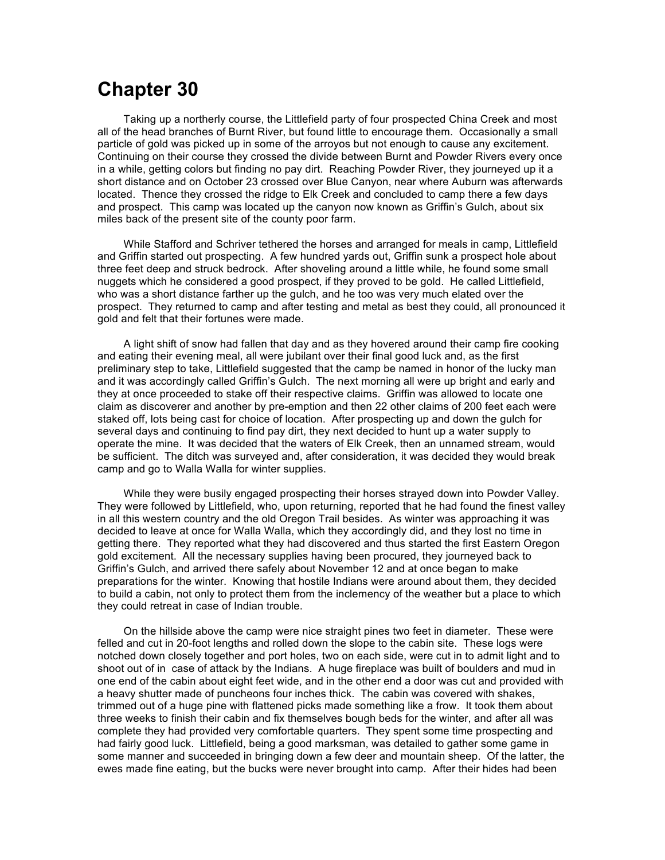## **Chapter 30**

Taking up a northerly course, the Littlefield party of four prospected China Creek and most all of the head branches of Burnt River, but found little to encourage them. Occasionally a small particle of gold was picked up in some of the arroyos but not enough to cause any excitement. Continuing on their course they crossed the divide between Burnt and Powder Rivers every once in a while, getting colors but finding no pay dirt. Reaching Powder River, they journeyed up it a short distance and on October 23 crossed over Blue Canyon, near where Auburn was afterwards located. Thence they crossed the ridge to Elk Creek and concluded to camp there a few days and prospect. This camp was located up the canyon now known as Griffin's Gulch, about six miles back of the present site of the county poor farm.

While Stafford and Schriver tethered the horses and arranged for meals in camp, Littlefield and Griffin started out prospecting. A few hundred yards out, Griffin sunk a prospect hole about three feet deep and struck bedrock. After shoveling around a little while, he found some small nuggets which he considered a good prospect, if they proved to be gold. He called Littlefield, who was a short distance farther up the gulch, and he too was very much elated over the prospect. They returned to camp and after testing and metal as best they could, all pronounced it gold and felt that their fortunes were made.

A light shift of snow had fallen that day and as they hovered around their camp fire cooking and eating their evening meal, all were jubilant over their final good luck and, as the first preliminary step to take, Littlefield suggested that the camp be named in honor of the lucky man and it was accordingly called Griffin's Gulch. The next morning all were up bright and early and they at once proceeded to stake off their respective claims. Griffin was allowed to locate one claim as discoverer and another by pre-emption and then 22 other claims of 200 feet each were staked off, lots being cast for choice of location. After prospecting up and down the gulch for several days and continuing to find pay dirt, they next decided to hunt up a water supply to operate the mine. It was decided that the waters of Elk Creek, then an unnamed stream, would be sufficient. The ditch was surveyed and, after consideration, it was decided they would break camp and go to Walla Walla for winter supplies.

While they were busily engaged prospecting their horses strayed down into Powder Valley. They were followed by Littlefield, who, upon returning, reported that he had found the finest valley in all this western country and the old Oregon Trail besides. As winter was approaching it was decided to leave at once for Walla Walla, which they accordingly did, and they lost no time in getting there. They reported what they had discovered and thus started the first Eastern Oregon gold excitement. All the necessary supplies having been procured, they journeyed back to Griffin's Gulch, and arrived there safely about November 12 and at once began to make preparations for the winter. Knowing that hostile Indians were around about them, they decided to build a cabin, not only to protect them from the inclemency of the weather but a place to which they could retreat in case of Indian trouble.

On the hillside above the camp were nice straight pines two feet in diameter. These were felled and cut in 20-foot lengths and rolled down the slope to the cabin site. These logs were notched down closely together and port holes, two on each side, were cut in to admit light and to shoot out of in case of attack by the Indians. A huge fireplace was built of boulders and mud in one end of the cabin about eight feet wide, and in the other end a door was cut and provided with a heavy shutter made of puncheons four inches thick. The cabin was covered with shakes, trimmed out of a huge pine with flattened picks made something like a frow. It took them about three weeks to finish their cabin and fix themselves bough beds for the winter, and after all was complete they had provided very comfortable quarters. They spent some time prospecting and had fairly good luck. Littlefield, being a good marksman, was detailed to gather some game in some manner and succeeded in bringing down a few deer and mountain sheep. Of the latter, the ewes made fine eating, but the bucks were never brought into camp. After their hides had been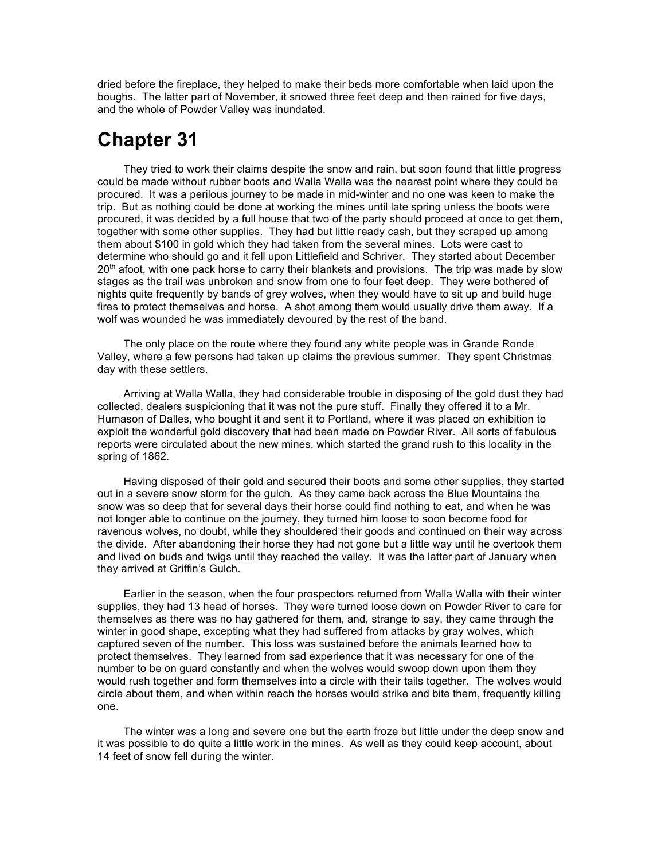dried before the fireplace, they helped to make their beds more comfortable when laid upon the boughs. The latter part of November, it snowed three feet deep and then rained for five days, and the whole of Powder Valley was inundated.

# **Chapter 31**

They tried to work their claims despite the snow and rain, but soon found that little progress could be made without rubber boots and Walla Walla was the nearest point where they could be procured. It was a perilous journey to be made in mid-winter and no one was keen to make the trip. But as nothing could be done at working the mines until late spring unless the boots were procured, it was decided by a full house that two of the party should proceed at once to get them, together with some other supplies. They had but little ready cash, but they scraped up among them about \$100 in gold which they had taken from the several mines. Lots were cast to determine who should go and it fell upon Littlefield and Schriver. They started about December  $20<sup>th</sup>$  afoot, with one pack horse to carry their blankets and provisions. The trip was made by slow stages as the trail was unbroken and snow from one to four feet deep. They were bothered of nights quite frequently by bands of grey wolves, when they would have to sit up and build huge fires to protect themselves and horse. A shot among them would usually drive them away. If a wolf was wounded he was immediately devoured by the rest of the band.

The only place on the route where they found any white people was in Grande Ronde Valley, where a few persons had taken up claims the previous summer. They spent Christmas day with these settlers.

Arriving at Walla Walla, they had considerable trouble in disposing of the gold dust they had collected, dealers suspicioning that it was not the pure stuff. Finally they offered it to a Mr. Humason of Dalles, who bought it and sent it to Portland, where it was placed on exhibition to exploit the wonderful gold discovery that had been made on Powder River. All sorts of fabulous reports were circulated about the new mines, which started the grand rush to this locality in the spring of 1862.

Having disposed of their gold and secured their boots and some other supplies, they started out in a severe snow storm for the gulch. As they came back across the Blue Mountains the snow was so deep that for several days their horse could find nothing to eat, and when he was not longer able to continue on the journey, they turned him loose to soon become food for ravenous wolves, no doubt, while they shouldered their goods and continued on their way across the divide. After abandoning their horse they had not gone but a little way until he overtook them and lived on buds and twigs until they reached the valley. It was the latter part of January when they arrived at Griffin's Gulch.

Earlier in the season, when the four prospectors returned from Walla Walla with their winter supplies, they had 13 head of horses. They were turned loose down on Powder River to care for themselves as there was no hay gathered for them, and, strange to say, they came through the winter in good shape, excepting what they had suffered from attacks by gray wolves, which captured seven of the number. This loss was sustained before the animals learned how to protect themselves. They learned from sad experience that it was necessary for one of the number to be on guard constantly and when the wolves would swoop down upon them they would rush together and form themselves into a circle with their tails together. The wolves would circle about them, and when within reach the horses would strike and bite them, frequently killing one.

The winter was a long and severe one but the earth froze but little under the deep snow and it was possible to do quite a little work in the mines. As well as they could keep account, about 14 feet of snow fell during the winter.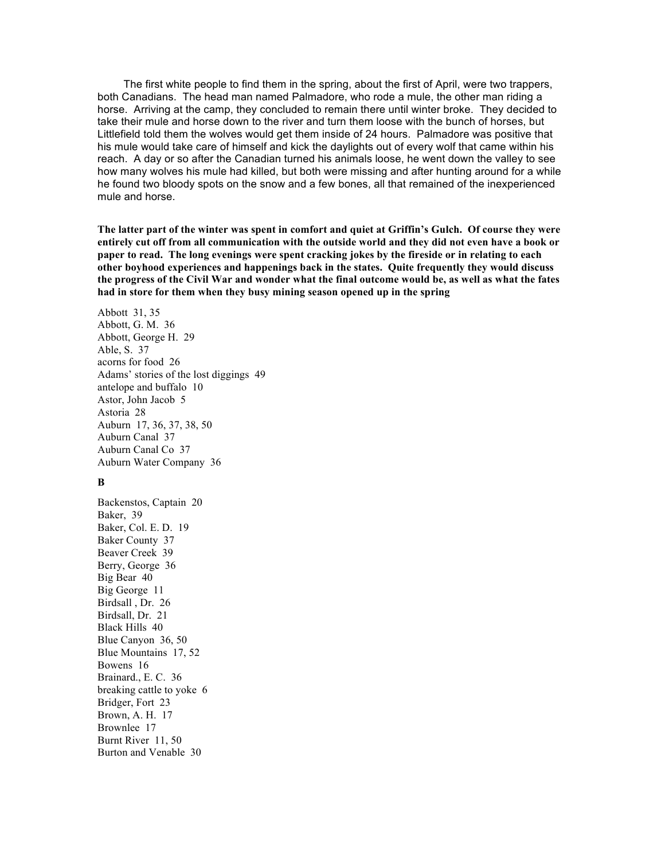The first white people to find them in the spring, about the first of April, were two trappers, both Canadians. The head man named Palmadore, who rode a mule, the other man riding a horse. Arriving at the camp, they concluded to remain there until winter broke. They decided to take their mule and horse down to the river and turn them loose with the bunch of horses, but Littlefield told them the wolves would get them inside of 24 hours. Palmadore was positive that his mule would take care of himself and kick the daylights out of every wolf that came within his reach. A day or so after the Canadian turned his animals loose, he went down the valley to see how many wolves his mule had killed, but both were missing and after hunting around for a while he found two bloody spots on the snow and a few bones, all that remained of the inexperienced mule and horse.

**The latter part of the winter was spent in comfort and quiet at Griffin's Gulch. Of course they were entirely cut off from all communication with the outside world and they did not even have a book or paper to read. The long evenings were spent cracking jokes by the fireside or in relating to each other boyhood experiences and happenings back in the states. Quite frequently they would discuss the progress of the Civil War and wonder what the final outcome would be, as well as what the fates had in store for them when they busy mining season opened up in the spring**

Abbott 31, 35 Abbott, G. M. 36 Abbott, George H. 29 Able, S. 37 acorns for food 26 Adams' stories of the lost diggings 49 antelope and buffalo 10 Astor, John Jacob 5 Astoria 28 Auburn 17, 36, 37, 38, 50 Auburn Canal 37 Auburn Canal Co 37 Auburn Water Company 36

#### **B**

Backenstos, Captain 20 Baker, 39 Baker, Col. E. D. 19 Baker County 37 Beaver Creek 39 Berry, George 36 Big Bear 40 Big George 11 Birdsall , Dr. 26 Birdsall, Dr. 21 Black Hills 40 Blue Canyon 36, 50 Blue Mountains 17, 52 Bowens 16 Brainard., E. C. 36 breaking cattle to yoke 6 Bridger, Fort 23 Brown, A. H. 17 Brownlee 17 Burnt River 11, 50 Burton and Venable 30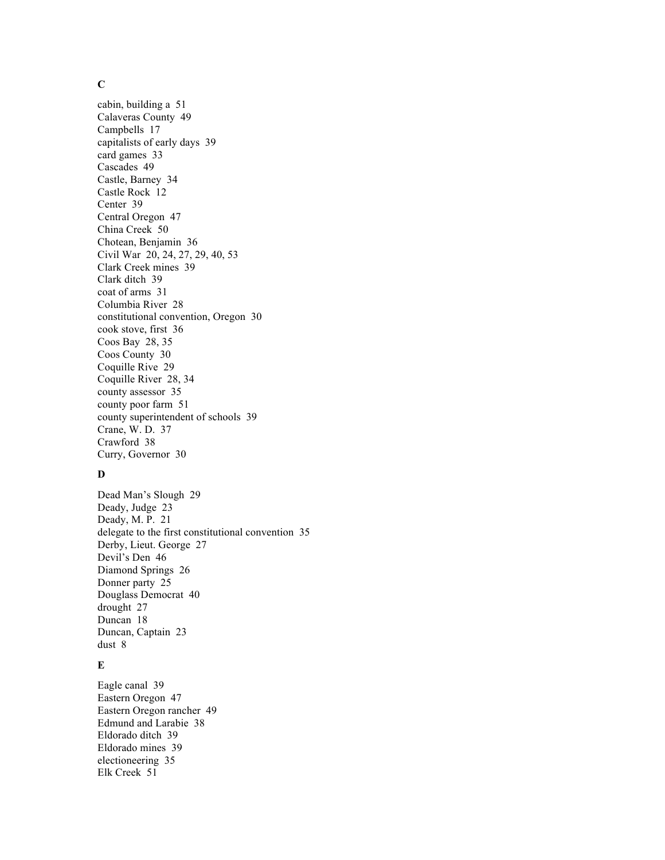### **C**

cabin, building a 51 Calaveras County 49 Campbells 17 capitalists of early days 39 card games 33 Cascades 49 Castle, Barney 34 Castle Rock 12 Center 39 Central Oregon 47 China Creek 50 Chotean, Benjamin 36 Civil War 20, 24, 27, 29, 40, 53 Clark Creek mines 39 Clark ditch 39 coat of arms 31 Columbia River 28 constitutional convention, Oregon 30 cook stove, first 36 Coos Bay 28, 35 Coos County 30 Coquille Rive 29 Coquille River 28, 34 county assessor 35 county poor farm 51 county superintendent of schools 39 Crane, W. D. 37 Crawford 38 Curry, Governor 30

#### **D**

Dead Man's Slough 29 Deady, Judge 23 Deady, M. P. 21 delegate to the first constitutional convention 35 Derby, Lieut. George 27 Devil's Den 46 Diamond Springs 26 Donner party 25 Douglass Democrat 40 drought 27 Duncan 18 Duncan, Captain 23 dust 8

#### **E**

Eagle canal 39 Eastern Oregon 47 Eastern Oregon rancher 49 Edmund and Larabie 38 Eldorado ditch 39 Eldorado mines 39 electioneering 35 Elk Creek 51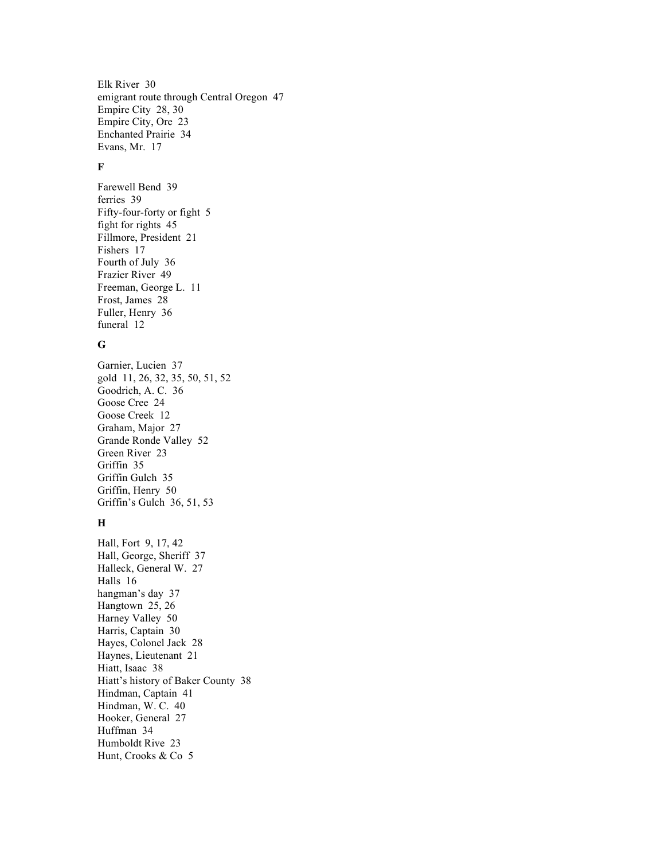Elk River 30 emigrant route through Central Oregon 47 Empire City 28, 30 Empire City, Ore 23 Enchanted Prairie 34 Evans, Mr. 17

#### **F**

Farewell Bend 39 ferries 39 Fifty-four-forty or fight 5 fight for rights 45 Fillmore, President 21 Fishers 17 Fourth of July 36 Frazier River 49 Freeman, George L. 11 Frost, James 28 Fuller, Henry 36 funeral 12

#### **G**

Garnier, Lucien 37 gold 11, 26, 32, 35, 50, 51, 52 Goodrich, A. C. 36 Goose Cree 24 Goose Creek 12 Graham, Major 27 Grande Ronde Valley 52 Green River 23 Griffin 35 Griffin Gulch 35 Griffin, Henry 50 Griffin's Gulch 36, 51, 53

### **H**

Hall, Fort 9, 17, 42 Hall, George, Sheriff 37 Halleck, General W. 27 Halls 16 hangman's day 37 Hangtown 25, 26 Harney Valley 50 Harris, Captain 30 Hayes, Colonel Jack 28 Haynes, Lieutenant 21 Hiatt, Isaac 38 Hiatt's history of Baker County 38 Hindman, Captain 41 Hindman, W. C. 40 Hooker, General 27 Huffman 34 Humboldt Rive 23 Hunt, Crooks & Co 5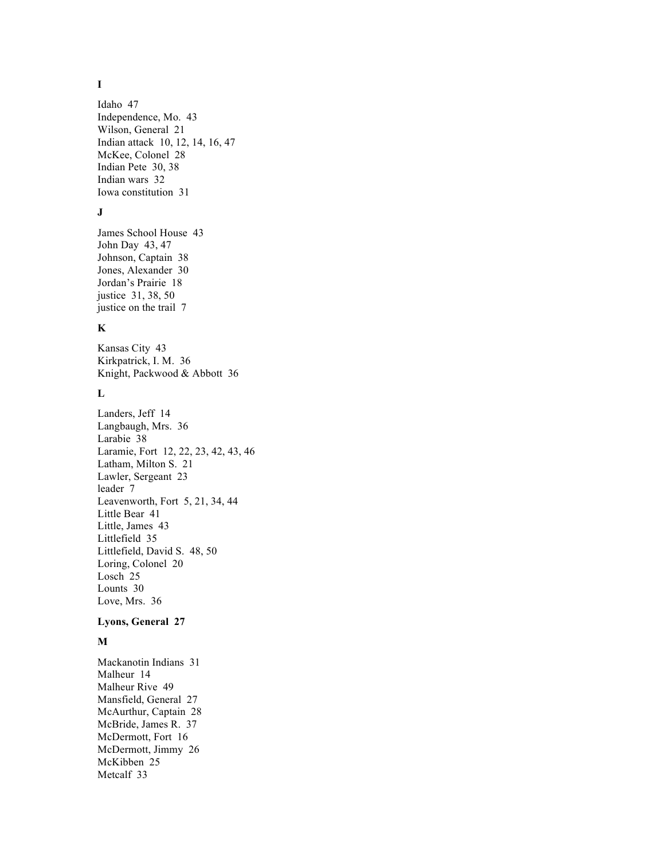### **I**

Idaho 47 Independence, Mo. 43 Wilson, General 21 Indian attack 10, 12, 14, 16, 47 McKee, Colonel 28 Indian Pete 30, 38 Indian wars 32 Iowa constitution 31

#### **J**

James School House 43 John Day 43, 47 Johnson, Captain 38 Jones, Alexander 30 Jordan's Prairie 18 justice 31, 38, 50 justice on the trail 7

### **K**

Kansas City 43 Kirkpatrick, I. M. 36 Knight, Packwood & Abbott 36

### **L**

Landers, Jeff 14 Langbaugh, Mrs. 36 Larabie 38 Laramie, Fort 12, 22, 23, 42, 43, 46 Latham, Milton S. 21 Lawler, Sergeant 23 leader 7 Leavenworth, Fort 5, 21, 34, 44 Little Bear 41 Little, James 43 Littlefield 35 Littlefield, David S. 48, 50 Loring, Colonel 20 Losch 25 Lounts 30 Love, Mrs. 36

#### **Lyons, General 27**

### **M**

Mackanotin Indians 31 Malheur 14 Malheur Rive 49 Mansfield, General 27 McAurthur, Captain 28 McBride, James R. 37 McDermott, Fort 16 McDermott, Jimmy 26 McKibben 25 Metcalf 33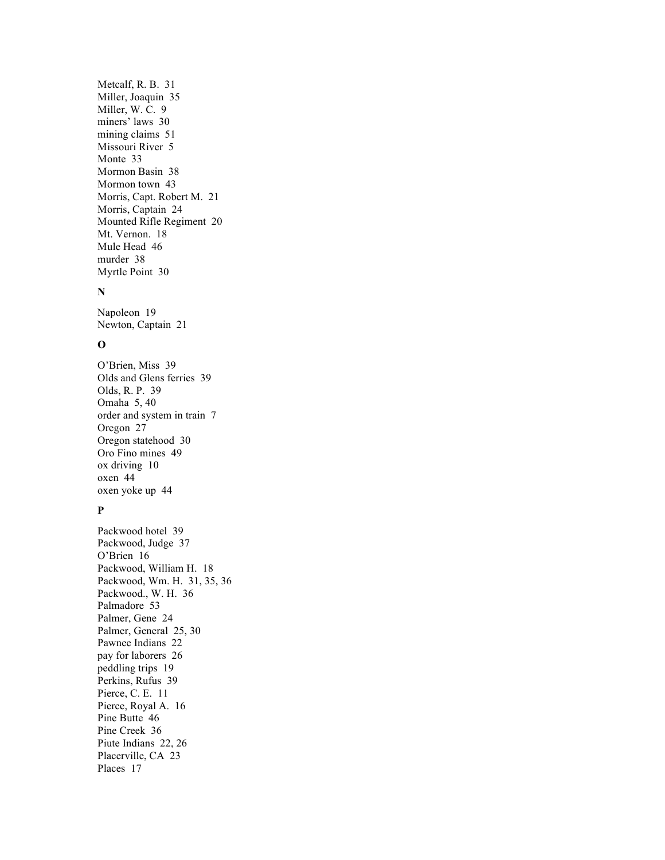Metcalf, R. B. 31 Miller, Joaquin 35 Miller, W. C. 9 miners' laws 30 mining claims 51 Missouri River 5 Monte 33 Mormon Basin 38 Mormon town 43 Morris, Capt. Robert M. 21 Morris, Captain 24 Mounted Rifle Regiment 20 Mt. Vernon. 18 Mule Head 46 murder 38 Myrtle Point 30

#### **N**

Napoleon 19 Newton, Captain 21

### **O**

O'Brien, Miss 39 Olds and Glens ferries 39 Olds, R. P. 39 Omaha 5, 40 order and system in train 7 Oregon 27 Oregon statehood 30 Oro Fino mines 49 ox driving 10 oxen 44 oxen yoke up 44

### **P**

Packwood hotel 39 Packwood, Judge 37 O'Brien 16 Packwood, William H. 18 Packwood, Wm. H. 31, 35, 36 Packwood., W. H. 36 Palmadore 53 Palmer, Gene 24 Palmer, General 25, 30 Pawnee Indians 22 pay for laborers 26 peddling trips 19 Perkins, Rufus 39 Pierce, C. E. 11 Pierce, Royal A. 16 Pine Butte 46 Pine Creek 36 Piute Indians 22, 26 Placerville, CA 23 Places 17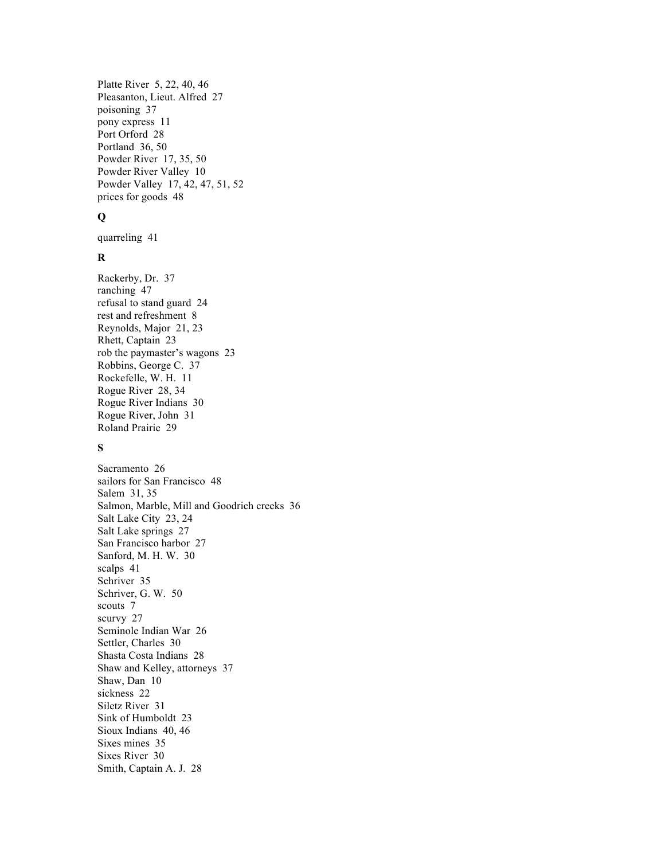Platte River 5, 22, 40, 46 Pleasanton, Lieut. Alfred 27 poisoning 37 pony express 11 Port Orford 28 Portland 36, 50 Powder River 17, 35, 50 Powder River Valley 10 Powder Valley 17, 42, 47, 51, 52 prices for goods 48

#### **Q**

quarreling 41

### **R**

Rackerby, Dr. 37 ranching 47 refusal to stand guard 24 rest and refreshment 8 Reynolds, Major 21, 23 Rhett, Captain 23 rob the paymaster's wagons 23 Robbins, George C. 37 Rockefelle, W. H. 11 Rogue River 28, 34 Rogue River Indians 30 Rogue River, John 31 Roland Prairie 29

### **S**

Sacramento 26 sailors for San Francisco 48 Salem 31, 35 Salmon, Marble, Mill and Goodrich creeks 36 Salt Lake City 23, 24 Salt Lake springs 27 San Francisco harbor 27 Sanford, M. H. W. 30 scalps 41 Schriver 35 Schriver, G. W. 50 scouts 7 scurvy 27 Seminole Indian War 26 Settler, Charles 30 Shasta Costa Indians 28 Shaw and Kelley, attorneys 37 Shaw, Dan 10 sickness 22 Siletz River 31 Sink of Humboldt 23 Sioux Indians 40, 46 Sixes mines 35 Sixes River 30 Smith, Captain A. J. 28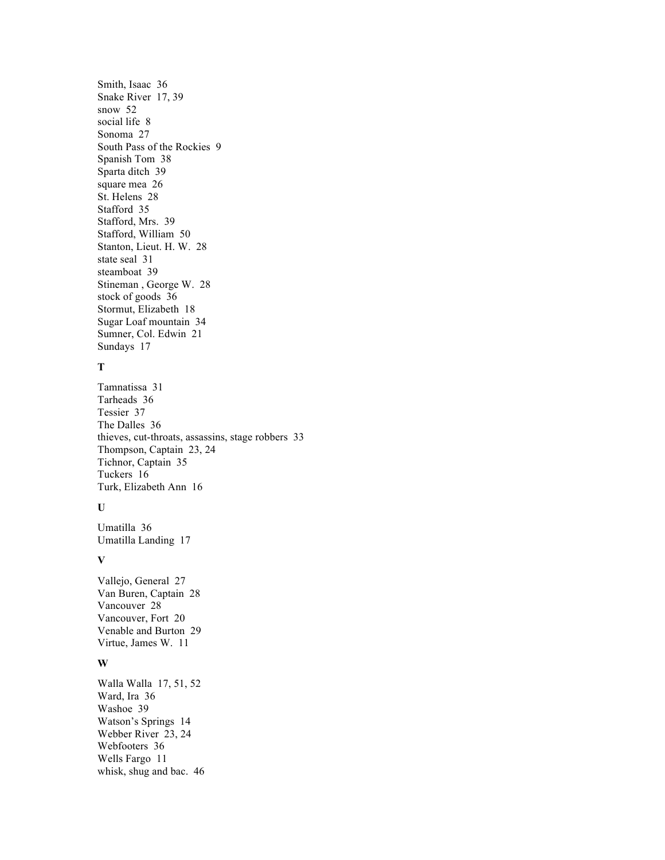Smith, Isaac 36 Snake River 17, 39 snow 52 social life 8 Sonoma 27 South Pass of the Rockies 9 Spanish Tom 38 Sparta ditch 39 square mea 26 St. Helens 28 Stafford 35 Stafford, Mrs. 39 Stafford, William 50 Stanton, Lieut. H. W. 28 state seal 31 steamboat 39 Stineman , George W. 28 stock of goods 36 Stormut, Elizabeth 18 Sugar Loaf mountain 34 Sumner, Col. Edwin 21 Sundays 17

### **T**

Tamnatissa 31 Tarheads 36 Tessier 37 The Dalles 36 thieves, cut-throats, assassins, stage robbers 33 Thompson, Captain 23, 24 Tichnor, Captain 35 Tuckers 16 Turk, Elizabeth Ann 16

### **U**

Umatilla 36 Umatilla Landing 17

#### **V**

Vallejo, General 27 Van Buren, Captain 28 Vancouver 28 Vancouver, Fort 20 Venable and Burton 29 Virtue, James W. 11

### **W**

Walla Walla 17, 51, 52 Ward, Ira 36 Washoe 39 Watson's Springs 14 Webber River 23, 24 Webfooters 36 Wells Fargo 11 whisk, shug and bac. 46